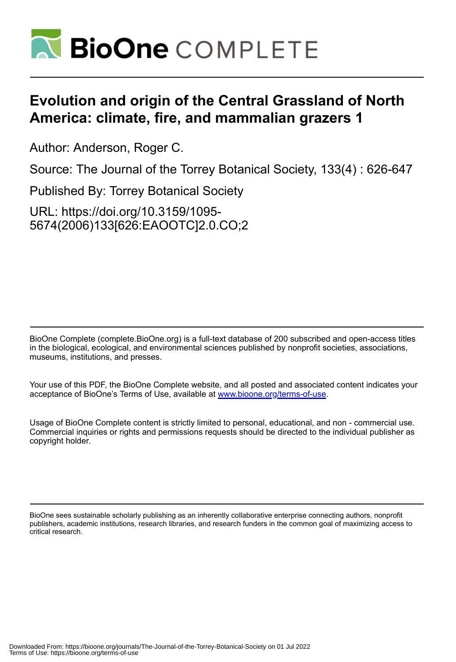

# **Evolution and origin of the Central Grassland of North America: climate, fire, and mammalian grazers 1**

Author: Anderson, Roger C.

Source: The Journal of the Torrey Botanical Society, 133(4) : 626-647

Published By: Torrey Botanical Society

URL: https://doi.org/10.3159/1095- 5674(2006)133[626:EAOOTC]2.0.CO;2

BioOne Complete (complete.BioOne.org) is a full-text database of 200 subscribed and open-access titles in the biological, ecological, and environmental sciences published by nonprofit societies, associations, museums, institutions, and presses.

Your use of this PDF, the BioOne Complete website, and all posted and associated content indicates your acceptance of BioOne's Terms of Use, available at www.bioone.org/terms-of-use.

Usage of BioOne Complete content is strictly limited to personal, educational, and non - commercial use. Commercial inquiries or rights and permissions requests should be directed to the individual publisher as copyright holder.

BioOne sees sustainable scholarly publishing as an inherently collaborative enterprise connecting authors, nonprofit publishers, academic institutions, research libraries, and research funders in the common goal of maximizing access to critical research.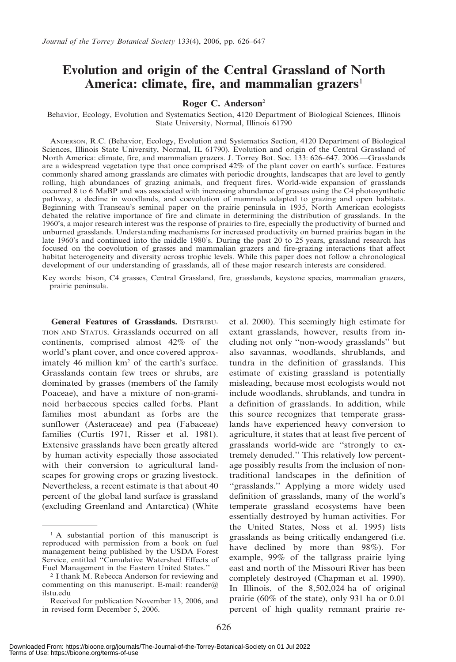## Evolution and origin of the Central Grassland of North America: climate, fire, and mammalian grazers<sup>1</sup>

#### Roger C. Anderson<sup>2</sup>

Behavior, Ecology, Evolution and Systematics Section, 4120 Department of Biological Sciences, Illinois State University, Normal, Illinois 61790

ANDERSON, R.C. (Behavior, Ecology, Evolution and Systematics Section, 4120 Department of Biological Sciences, Illinois State University, Normal, IL 61790). Evolution and origin of the Central Grassland of North America: climate, fire, and mammalian grazers. J. Torrey Bot. Soc. 133: 626–647. 2006.—Grasslands are a widespread vegetation type that once comprised 42% of the plant cover on earth's surface. Features commonly shared among grasslands are climates with periodic droughts, landscapes that are level to gently rolling, high abundances of grazing animals, and frequent fires. World-wide expansion of grasslands occurred 8 to 6 MaBP and was associated with increasing abundance of grasses using the C4 photosynthetic pathway, a decline in woodlands, and coevolution of mammals adapted to grazing and open habitats. Beginning with Transeau's seminal paper on the prairie peninsula in 1935, North American ecologists debated the relative importance of fire and climate in determining the distribution of grasslands. In the 1960's, a major research interest was the response of prairies to fire, especially the productivity of burned and unburned grasslands. Understanding mechanisms for increased productivity on burned prairies began in the late 1960's and continued into the middle 1980's. During the past 20 to 25 years, grassland research has focused on the coevolution of grasses and mammalian grazers and fire-grazing interactions that affect habitat heterogeneity and diversity across trophic levels. While this paper does not follow a chronological development of our understanding of grasslands, all of these major research interests are considered.

Key words: bison, C4 grasses, Central Grassland, fire, grasslands, keystone species, mammalian grazers, prairie peninsula.

General Features of Grasslands. DISTRIBU-TION AND STATUS. Grasslands occurred on all continents, comprised almost 42% of the world's plant cover, and once covered approximately 46 million km2 of the earth's surface. Grasslands contain few trees or shrubs, are dominated by grasses (members of the family Poaceae), and have a mixture of non-graminoid herbaceous species called forbs. Plant families most abundant as forbs are the sunflower (Asteraceae) and pea (Fabaceae) families (Curtis 1971, Risser et al. 1981). Extensive grasslands have been greatly altered by human activity especially those associated with their conversion to agricultural landscapes for growing crops or grazing livestock. Nevertheless, a recent estimate is that about 40 percent of the global land surface is grassland (excluding Greenland and Antarctica) (White

et al. 2000). This seemingly high estimate for extant grasslands, however, results from including not only ''non-woody grasslands'' but also savannas, woodlands, shrublands, and tundra in the definition of grasslands. This estimate of existing grassland is potentially misleading, because most ecologists would not include woodlands, shrublands, and tundra in a definition of grasslands. In addition, while this source recognizes that temperate grasslands have experienced heavy conversion to agriculture, it states that at least five percent of grasslands world-wide are ''strongly to extremely denuded.'' This relatively low percentage possibly results from the inclusion of nontraditional landscapes in the definition of "grasslands." Applying a more widely used definition of grasslands, many of the world's temperate grassland ecosystems have been essentially destroyed by human activities. For the United States, Noss et al. 1995) lists grasslands as being critically endangered (i.e. have declined by more than 98%). For example, 99% of the tallgrass prairie lying east and north of the Missouri River has been completely destroyed (Chapman et al. 1990). In Illinois, of the 8,502,024 ha of original prairie (60% of the state), only 931 ha or 0.01 percent of high quality remnant prairie re-

<sup>1</sup> A substantial portion of this manuscript is reproduced with permission from a book on fuel management being published by the USDA Forest Service, entitled ''Cumulative Watershed Effects of Fuel Management in the Eastern United States.''

<sup>2</sup> I thank M. Rebecca Anderson for reviewing and commenting on this manuscript. E-mail: reander $\omega$ ilstu.edu

Received for publication November 13, 2006, and in revised form December 5, 2006.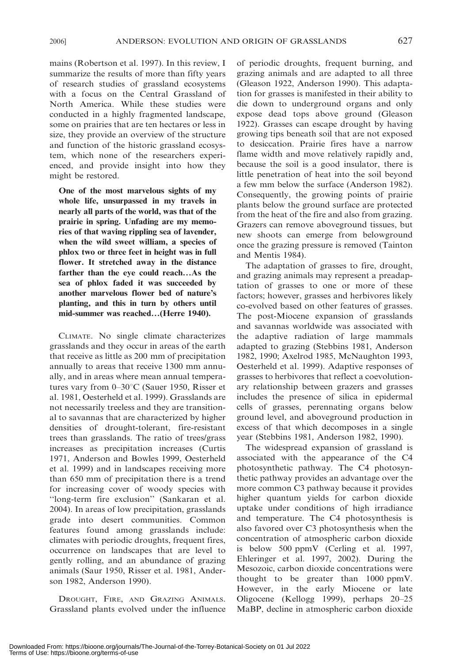mains (Robertson et al. 1997). In this review, I summarize the results of more than fifty years of research studies of grassland ecosystems with a focus on the Central Grassland of North America. While these studies were conducted in a highly fragmented landscape, some on prairies that are ten hectares or less in size, they provide an overview of the structure and function of the historic grassland ecosystem, which none of the researchers experienced, and provide insight into how they might be restored.

One of the most marvelous sights of my whole life, unsurpassed in my travels in nearly all parts of the world, was that of the prairie in spring. Unfading are my memories of that waving rippling sea of lavender, when the wild sweet william, a species of phlox two or three feet in height was in full flower. It stretched away in the distance farther than the eye could reach…As the sea of phlox faded it was succeeded by another marvelous flower bed of nature's planting, and this in turn by others until mid-summer was reached…(Herre 1940).

CLIMATE. No single climate characterizes grasslands and they occur in areas of the earth that receive as little as 200 mm of precipitation annually to areas that receive 1300 mm annually, and in areas where mean annual temperatures vary from  $0-30^{\circ}$ C (Sauer 1950, Risser et al. 1981, Oesterheld et al. 1999). Grasslands are not necessarily treeless and they are transitional to savannas that are characterized by higher densities of drought-tolerant, fire-resistant trees than grasslands. The ratio of trees/grass increases as precipitation increases (Curtis 1971, Anderson and Bowles 1999, Oesterheld et al. 1999) and in landscapes receiving more than 650 mm of precipitation there is a trend for increasing cover of woody species with ''long-term fire exclusion'' (Sankaran et al. 2004). In areas of low precipitation, grasslands grade into desert communities. Common features found among grasslands include: climates with periodic droughts, frequent fires, occurrence on landscapes that are level to gently rolling, and an abundance of grazing animals (Saur 1950, Risser et al. 1981, Anderson 1982, Anderson 1990).

DROUGHT, FIRE, AND GRAZING ANIMALS. Grassland plants evolved under the influence of periodic droughts, frequent burning, and grazing animals and are adapted to all three (Gleason 1922, Anderson 1990). This adaptation for grasses is manifested in their ability to die down to underground organs and only expose dead tops above ground (Gleason 1922). Grasses can escape drought by having growing tips beneath soil that are not exposed to desiccation. Prairie fires have a narrow flame width and move relatively rapidly and, because the soil is a good insulator, there is little penetration of heat into the soil beyond a few mm below the surface (Anderson 1982). Consequently, the growing points of prairie plants below the ground surface are protected from the heat of the fire and also from grazing. Grazers can remove aboveground tissues, but new shoots can emerge from belowground once the grazing pressure is removed (Tainton and Mentis 1984).

The adaptation of grasses to fire, drought, and grazing animals may represent a preadaptation of grasses to one or more of these factors; however, grasses and herbivores likely co-evolved based on other features of grasses. The post-Miocene expansion of grasslands and savannas worldwide was associated with the adaptive radiation of large mammals adapted to grazing (Stebbins 1981, Anderson 1982, 1990; Axelrod 1985, McNaughton 1993, Oesterheld et al. 1999). Adaptive responses of grasses to herbivores that reflect a coevolutionary relationship between grazers and grasses includes the presence of silica in epidermal cells of grasses, perennating organs below ground level, and aboveground production in excess of that which decomposes in a single year (Stebbins 1981, Anderson 1982, 1990).

The widespread expansion of grassland is associated with the appearance of the C4 photosynthetic pathway. The C4 photosynthetic pathway provides an advantage over the more common C3 pathway because it provides higher quantum yields for carbon dioxide uptake under conditions of high irradiance and temperature. The C4 photosynthesis is also favored over C3 photosynthesis when the concentration of atmospheric carbon dioxide is below 500 ppmV (Cerling et al. 1997, Ehleringer et al. 1997, 2002). During the Mesozoic, carbon dioxide concentrations were thought to be greater than 1000 ppmV. However, in the early Miocene or late Oligocene (Kellogg 1999), perhaps 20–25 MaBP, decline in atmospheric carbon dioxide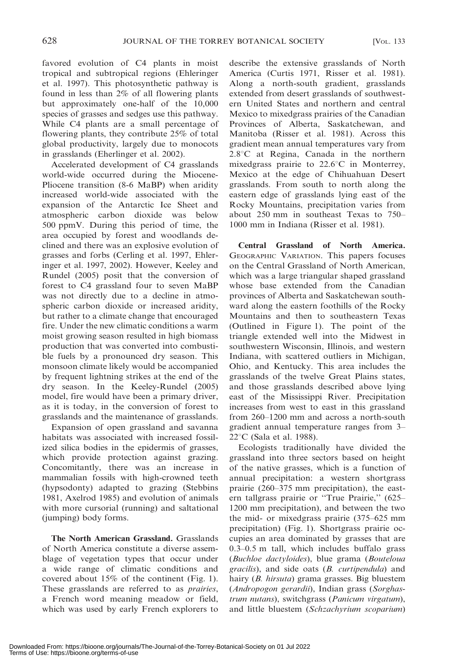favored evolution of C4 plants in moist tropical and subtropical regions (Ehleringer et al. 1997). This photosynthetic pathway is found in less than 2% of all flowering plants but approximately one-half of the 10,000 species of grasses and sedges use this pathway. While C4 plants are a small percentage of flowering plants, they contribute 25% of total global productivity, largely due to monocots in grasslands (Eherlinger et al. 2002).

Accelerated development of C4 grasslands world-wide occurred during the Miocene-Pliocene transition (8-6 MaBP) when aridity increased world-wide associated with the expansion of the Antarctic Ice Sheet and atmospheric carbon dioxide was below 500 ppmV. During this period of time, the area occupied by forest and woodlands declined and there was an explosive evolution of grasses and forbs (Cerling et al. 1997, Ehleringer et al. 1997, 2002). However, Keeley and Rundel (2005) posit that the conversion of forest to C4 grassland four to seven MaBP was not directly due to a decline in atmospheric carbon dioxide or increased aridity, but rather to a climate change that encouraged fire. Under the new climatic conditions a warm moist growing season resulted in high biomass production that was converted into combustible fuels by a pronounced dry season. This monsoon climate likely would be accompanied by frequent lightning strikes at the end of the dry season. In the Keeley-Rundel (2005) model, fire would have been a primary driver, as it is today, in the conversion of forest to grasslands and the maintenance of grasslands.

Expansion of open grassland and savanna habitats was associated with increased fossilized silica bodies in the epidermis of grasses, which provide protection against grazing. Concomitantly, there was an increase in mammalian fossils with high-crowned teeth (hypsodonty) adapted to grazing (Stebbins 1981, Axelrod 1985) and evolution of animals with more cursorial (running) and saltational (jumping) body forms.

The North American Grassland. Grasslands of North America constitute a diverse assemblage of vegetation types that occur under a wide range of climatic conditions and covered about 15% of the continent (Fig. 1). These grasslands are referred to as *prairies*, a French word meaning meadow or field, which was used by early French explorers to describe the extensive grasslands of North America (Curtis 1971, Risser et al. 1981). Along a north-south gradient, grasslands extended from desert grasslands of southwestern United States and northern and central Mexico to mixedgrass prairies of the Canadian Provinces of Alberta, Saskatchewan, and Manitoba (Risser et al. 1981). Across this gradient mean annual temperatures vary from  $2.8^{\circ}$ C at Regina, Canada in the northern mixedgrass prairie to  $22.6^{\circ}$ C in Monterrey, Mexico at the edge of Chihuahuan Desert grasslands. From south to north along the eastern edge of grasslands lying east of the Rocky Mountains, precipitation varies from about 250 mm in southeast Texas to 750– 1000 mm in Indiana (Risser et al. 1981).

Central Grassland of North America. GEOGRAPHIC VARIATION. This papers focuses on the Central Grassland of North American, which was a large triangular shaped grassland whose base extended from the Canadian provinces of Alberta and Saskatchewan southward along the eastern foothills of the Rocky Mountains and then to southeastern Texas (Outlined in Figure 1). The point of the triangle extended well into the Midwest in southwestern Wisconsin, Illinois, and western Indiana, with scattered outliers in Michigan, Ohio, and Kentucky. This area includes the grasslands of the twelve Great Plains states, and those grasslands described above lying east of the Mississippi River. Precipitation increases from west to east in this grassland from 260–1200 mm and across a north-south gradient annual temperature ranges from 3–  $22^{\circ}$ C (Sala et al. 1988).

Ecologists traditionally have divided the grassland into three sectors based on height of the native grasses, which is a function of annual precipitation: a western shortgrass prairie (260–375 mm precipitation), the eastern tallgrass prairie or ''True Prairie,'' (625– 1200 mm precipitation), and between the two the mid- or mixedgrass prairie (375–625 mm precipitation) (Fig. 1). Shortgrass prairie occupies an area dominated by grasses that are 0.3–0.5 m tall, which includes buffalo grass (Buchloe dactyloides), blue grama (Bouteloua gracilis), and side oats (B. curtipendula) and hairy (B. hirsuta) grama grasses. Big bluestem (Andropogon gerardii), Indian grass (Sorghastrum nutans), switchgrass (Panicum virgatum), and little bluestem (Schzachyrium scoparium)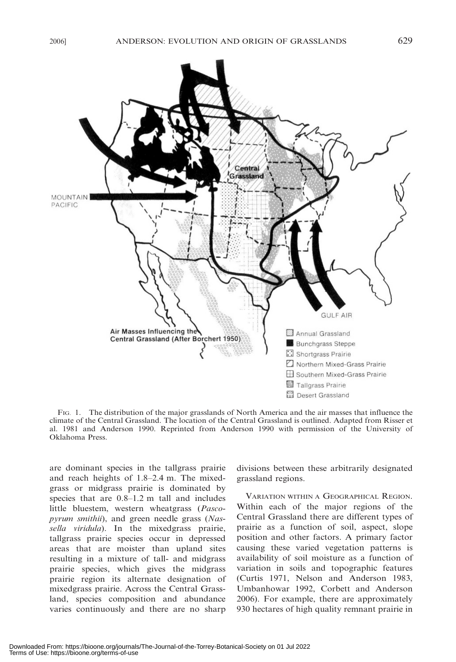

FIG. 1. The distribution of the major grasslands of North America and the air masses that influence the climate of the Central Grassland. The location of the Central Grassland is outlined. Adapted from Risser et al. 1981 and Anderson 1990. Reprinted from Anderson 1990 with permission of the University of Oklahoma Press.

are dominant species in the tallgrass prairie and reach heights of 1.8–2.4 m. The mixedgrass or midgrass prairie is dominated by species that are 0.8–1.2 m tall and includes little bluestem, western wheatgrass (Pascopyrum smithii), and green needle grass (Nassella viridula). In the mixedgrass prairie, tallgrass prairie species occur in depressed areas that are moister than upland sites resulting in a mixture of tall- and midgrass prairie species, which gives the midgrass prairie region its alternate designation of mixedgrass prairie. Across the Central Grassland, species composition and abundance varies continuously and there are no sharp divisions between these arbitrarily designated grassland regions.

VARIATION WITHIN A GEOGRAPHICAL REGION. Within each of the major regions of the Central Grassland there are different types of prairie as a function of soil, aspect, slope position and other factors. A primary factor causing these varied vegetation patterns is availability of soil moisture as a function of variation in soils and topographic features (Curtis 1971, Nelson and Anderson 1983, Umbanhowar 1992, Corbett and Anderson 2006). For example, there are approximately 930 hectares of high quality remnant prairie in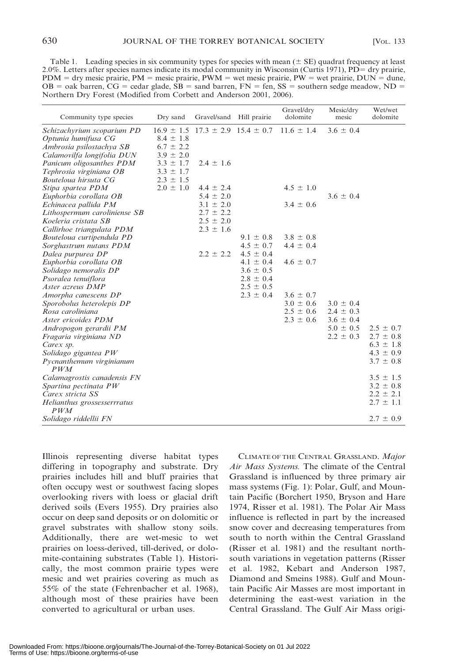Table 1. Leading species in six community types for species with mean  $(\pm S\vec{E})$  quadrat frequency at least 2.0%. Letters after species names indicate its modal community in Wisconsin (Curtis 1971), PD= dry prairie,  $PDM = dry$  mesic prairie,  $PM =$  mesic prairie,  $PWM =$  wet mesic prairie,  $PW =$  wet prairie,  $DUN =$  dune, OB = oak barren, CG = cedar glade,  $\overline{SB}$  = sand barren, FN = fen, SS = southern sedge meadow, ND = Northern Dry Forest (Modified from Corbett and Anderson 2001, 2006).

| Community type species       | Dry sand      | Gravel/sand Hill prairie                     |               | Gravel/dry<br>dolomite | Mesic/dry<br>mesic | Wet/wet<br>dolomite |
|------------------------------|---------------|----------------------------------------------|---------------|------------------------|--------------------|---------------------|
| Schizachyrium scoparium PD   |               | $16.9 \pm 1.5$ $17.3 \pm 2.9$ $15.4 \pm 0.7$ |               | $11.6 \pm 1.4$         | $3.6 \pm 0.4$      |                     |
| Optunia humifusa CG          | $8.4 \pm 1.8$ |                                              |               |                        |                    |                     |
| Ambrosia psilostachya SB     | $6.7 \pm 2.2$ |                                              |               |                        |                    |                     |
| Calamovilfa longifolia DUN   | $3.9 \pm 2.0$ |                                              |               |                        |                    |                     |
| Panicum oligosanthes PDM     | $3.3 \pm 1.7$ | $2.4 \pm 1.6$                                |               |                        |                    |                     |
| Tephrosia virginiana OB      | $3.3 \pm 1.7$ |                                              |               |                        |                    |                     |
| Bouteloua hirsuta CG         | $2.3 \pm 1.5$ |                                              |               |                        |                    |                     |
| Stipa spartea PDM            | $2.0 \pm 1.0$ | $4.4 \pm 2.4$                                |               | $4.5 \pm 1.0$          |                    |                     |
| Euphorbia corollata OB       |               | $5.4 \pm 2.0$                                |               |                        | $3.6 \pm 0.4$      |                     |
| Echinacea pallida PM         |               | $3.1 \pm 2.0$                                |               | $3.4 \pm 0.6$          |                    |                     |
| Lithospermum caroliniense SB |               | $2.7 \pm 2.2$                                |               |                        |                    |                     |
| Koeleria cristata SB         |               | $2.5 \pm 2.0$                                |               |                        |                    |                     |
| Callirhoe triangulata PDM    |               | $2.3 \pm 1.6$                                |               |                        |                    |                     |
| Bouteloua curtipendula PD    |               |                                              | $9.1 \pm 0.8$ | $3.8 \pm 0.8$          |                    |                     |
| Sorghastrum nutans PDM       |               |                                              | $4.5 \pm 0.7$ | $4.4 \pm 0.4$          |                    |                     |
| Dalea purpurea DP            |               | $2.2 \pm 2.2$                                | $4.5 \pm 0.4$ |                        |                    |                     |
| Euphorbia corollata OB       |               |                                              | $4.1 \pm 0.4$ | $4.6 \pm 0.7$          |                    |                     |
| Solidago nemoralis DP        |               |                                              | $3.6 \pm 0.5$ |                        |                    |                     |
| Psoralea tenuiflora          |               |                                              | $2.8 \pm 0.4$ |                        |                    |                     |
| Aster azreus DMP             |               |                                              | $2.5 \pm 0.5$ |                        |                    |                     |
| Amorpha canescens DP         |               |                                              | $2.3 \pm 0.4$ | $3.6 \pm 0.7$          |                    |                     |
| Sporobolus heterolepis DP    |               |                                              |               | $3.0 \pm 0.6$          | $3.0 \pm 0.4$      |                     |
| Rosa caroliniana             |               |                                              |               | $2.5 \pm 0.6$          | $2.4 \pm 0.3$      |                     |
| Aster ericoides PDM          |               |                                              |               | $2.3 \pm 0.6$          | $3.6 \pm 0.4$      |                     |
| Andropogon gerardii PM       |               |                                              |               |                        | $5.0 \pm 0.5$      | $2.5 \pm 0.7$       |
| Fragaria virginiana ND       |               |                                              |               |                        | $2.2 \pm 0.3$      | $2.7 \pm 0.8$       |
| Carex sp.                    |               |                                              |               |                        |                    | $6.3 \pm 1.8$       |
| Solidago gigantea PW         |               |                                              |               |                        |                    | $4.3 \pm 0.9$       |
| Pycnanthemum virginianum     |               |                                              |               |                        |                    | $3.7 \pm 0.8$       |
| PWM                          |               |                                              |               |                        |                    |                     |
| Calamagrostis canadensis FN  |               |                                              |               |                        |                    | $3.5 \pm 1.5$       |
| Spartina pectinata PW        |               |                                              |               |                        |                    | $3.2 \pm 0.8$       |
| Carex stricta SS             |               |                                              |               |                        |                    | $2.2 \pm 2.1$       |
| Helianthus grossesserrratus  |               |                                              |               |                        |                    | $2.7 \pm 1.1$       |
| PWM                          |               |                                              |               |                        |                    |                     |
| Solidago riddellii FN        |               |                                              |               |                        |                    | $2.7 \pm 0.9$       |

Illinois representing diverse habitat types differing in topography and substrate. Dry prairies includes hill and bluff prairies that often occupy west or southwest facing slopes overlooking rivers with loess or glacial drift derived soils (Evers 1955). Dry prairies also occur on deep sand deposits or on dolomitic or gravel substrates with shallow stony soils. Additionally, there are wet-mesic to wet prairies on loess-derived, till-derived, or dolomite-containing substrates (Table 1). Historically, the most common prairie types were mesic and wet prairies covering as much as 55% of the state (Fehrenbacher et al. 1968), although most of these prairies have been converted to agricultural or urban uses.

CLIMATE OF THE CENTRAL GRASSLAND. Major Air Mass Systems. The climate of the Central Grassland is influenced by three primary air mass systems (Fig. 1): Polar, Gulf, and Mountain Pacific (Borchert 1950, Bryson and Hare 1974, Risser et al. 1981). The Polar Air Mass influence is reflected in part by the increased snow cover and decreasing temperatures from south to north within the Central Grassland (Risser et al. 1981) and the resultant northsouth variations in vegetation patterns (Risser et al. 1982, Kebart and Anderson 1987, Diamond and Smeins 1988). Gulf and Mountain Pacific Air Masses are most important in determining the east-west variation in the Central Grassland. The Gulf Air Mass origi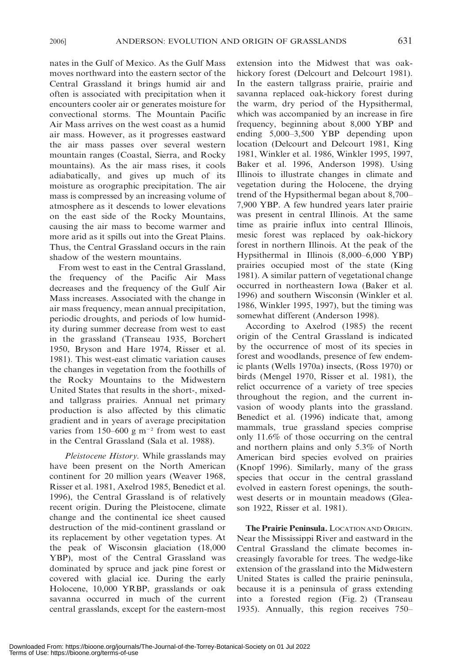nates in the Gulf of Mexico. As the Gulf Mass moves northward into the eastern sector of the Central Grassland it brings humid air and often is associated with precipitation when it encounters cooler air or generates moisture for convectional storms. The Mountain Pacific Air Mass arrives on the west coast as a humid air mass. However, as it progresses eastward the air mass passes over several western mountain ranges (Coastal, Sierra, and Rocky mountains). As the air mass rises, it cools adiabatically, and gives up much of its moisture as orographic precipitation. The air mass is compressed by an increasing volume of atmosphere as it descends to lower elevations on the east side of the Rocky Mountains, causing the air mass to become warmer and more arid as it spills out into the Great Plains. Thus, the Central Grassland occurs in the rain shadow of the western mountains.

From west to east in the Central Grassland, the frequency of the Pacific Air Mass decreases and the frequency of the Gulf Air Mass increases. Associated with the change in air mass frequency, mean annual precipitation, periodic droughts, and periods of low humidity during summer decrease from west to east in the grassland (Transeau 1935, Borchert 1950, Bryson and Hare 1974, Risser et al. 1981). This west-east climatic variation causes the changes in vegetation from the foothills of the Rocky Mountains to the Midwestern United States that results in the short-, mixedand tallgrass prairies. Annual net primary production is also affected by this climatic gradient and in years of average precipitation varies from 150–600 g  $m^{-2}$  from west to east in the Central Grassland (Sala et al. 1988).

Pleistocene History. While grasslands may have been present on the North American continent for 20 million years (Weaver 1968, Risser et al. 1981, Axelrod 1985, Benedict et al. 1996), the Central Grassland is of relatively recent origin. During the Pleistocene, climate change and the continental ice sheet caused destruction of the mid-continent grassland or its replacement by other vegetation types. At the peak of Wisconsin glaciation (18,000 YBP), most of the Central Grassland was dominated by spruce and jack pine forest or covered with glacial ice. During the early Holocene, 10,000 YRBP, grasslands or oak savanna occurred in much of the current central grasslands, except for the eastern-most

extension into the Midwest that was oakhickory forest (Delcourt and Delcourt 1981). In the eastern tallgrass prairie, prairie and savanna replaced oak-hickory forest during the warm, dry period of the Hypsithermal, which was accompanied by an increase in fire frequency, beginning about 8,000 YBP and ending 5,000–3,500 YBP depending upon location (Delcourt and Delcourt 1981, King 1981, Winkler et al. 1986, Winkler 1995, 1997, Baker et al. 1996, Anderson 1998). Using Illinois to illustrate changes in climate and vegetation during the Holocene, the drying trend of the Hypsithermal began about 8,700– 7,900 YBP. A few hundred years later prairie was present in central Illinois. At the same time as prairie influx into central Illinois, mesic forest was replaced by oak-hickory forest in northern Illinois. At the peak of the Hypsithermal in Illinois (8,000–6,000 YBP) prairies occupied most of the state (King 1981). A similar pattern of vegetational change occurred in northeastern Iowa (Baker et al. 1996) and southern Wisconsin (Winkler et al. 1986, Winkler 1995, 1997), but the timing was somewhat different (Anderson 1998).

According to Axelrod (1985) the recent origin of the Central Grassland is indicated by the occurrence of most of its species in forest and woodlands, presence of few endemic plants (Wells 1970a) insects, (Ross 1970) or birds (Mengel 1970, Risser et al. 1981), the relict occurrence of a variety of tree species throughout the region, and the current invasion of woody plants into the grassland. Benedict et al. (1996) indicate that, among mammals, true grassland species comprise only 11.6% of those occurring on the central and northern plains and only 5.3% of North American bird species evolved on prairies (Knopf 1996). Similarly, many of the grass species that occur in the central grassland evolved in eastern forest openings, the southwest deserts or in mountain meadows (Gleason 1922, Risser et al. 1981).

The Prairie Peninsula. LOCATION AND ORIGIN. Near the Mississippi River and eastward in the Central Grassland the climate becomes increasingly favorable for trees. The wedge-like extension of the grassland into the Midwestern United States is called the prairie peninsula, because it is a peninsula of grass extending into a forested region (Fig. 2) (Transeau 1935). Annually, this region receives 750–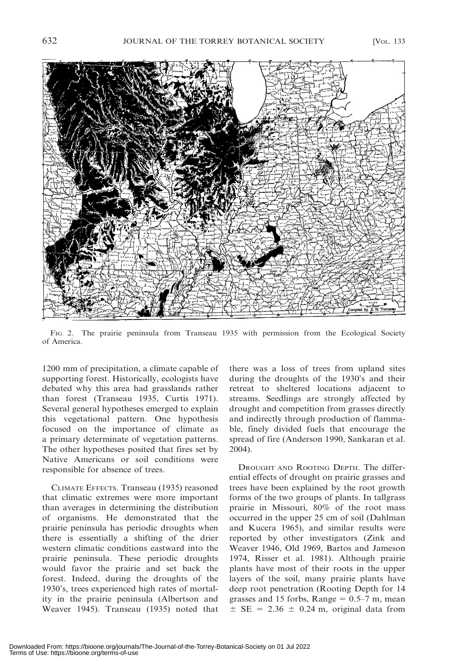

FIG. 2. The prairie peninsula from Transeau 1935 with permission from the Ecological Society of America.

1200 mm of precipitation, a climate capable of supporting forest. Historically, ecologists have debated why this area had grasslands rather than forest (Transeau 1935, Curtis 1971). Several general hypotheses emerged to explain this vegetational pattern. One hypothesis focused on the importance of climate as a primary determinate of vegetation patterns. The other hypotheses posited that fires set by Native Americans or soil conditions were responsible for absence of trees.

CLIMATE EFFECTS. Transeau (1935) reasoned that climatic extremes were more important than averages in determining the distribution of organisms. He demonstrated that the prairie peninsula has periodic droughts when there is essentially a shifting of the drier western climatic conditions eastward into the prairie peninsula. These periodic droughts would favor the prairie and set back the forest. Indeed, during the droughts of the 1930's, trees experienced high rates of mortality in the prairie peninsula (Albertson and Weaver 1945). Transeau (1935) noted that there was a loss of trees from upland sites during the droughts of the 1930's and their retreat to sheltered locations adjacent to streams. Seedlings are strongly affected by drought and competition from grasses directly and indirectly through production of flammable, finely divided fuels that encourage the spread of fire (Anderson 1990, Sankaran et al. 2004).

DROUGHT AND ROOTING DEPTH. The differential effects of drought on prairie grasses and trees have been explained by the root growth forms of the two groups of plants. In tallgrass prairie in Missouri, 80% of the root mass occurred in the upper 25 cm of soil (Dahlman and Kucera 1965), and similar results were reported by other investigators (Zink and Weaver 1946, Old 1969, Bartos and Jameson 1974, Risser et al. 1981). Although prairie plants have most of their roots in the upper layers of the soil, many prairie plants have deep root penetration (Rooting Depth for 14 grasses and 15 forbs, Range  $= 0.5-7$  m, mean  $\pm$  SE = 2.36  $\pm$  0.24 m, original data from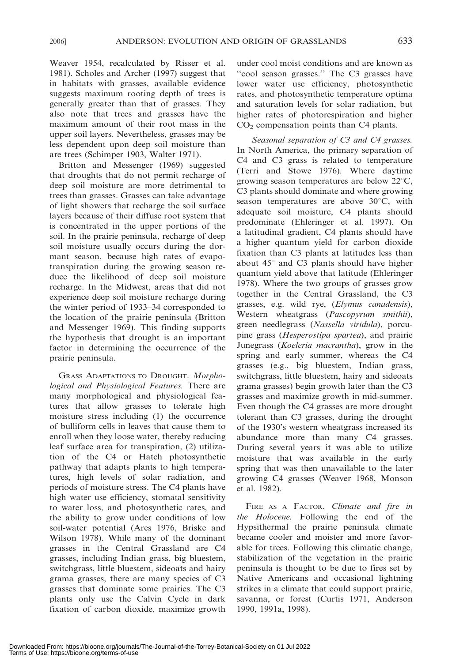Weaver 1954, recalculated by Risser et al. 1981). Scholes and Archer (1997) suggest that in habitats with grasses, available evidence suggests maximum rooting depth of trees is generally greater than that of grasses. They also note that trees and grasses have the maximum amount of their root mass in the upper soil layers. Nevertheless, grasses may be

are trees (Schimper 1903, Walter 1971). Britton and Messenger (1969) suggested that droughts that do not permit recharge of deep soil moisture are more detrimental to trees than grasses. Grasses can take advantage of light showers that recharge the soil surface layers because of their diffuse root system that is concentrated in the upper portions of the soil. In the prairie peninsula, recharge of deep soil moisture usually occurs during the dormant season, because high rates of evapotranspiration during the growing season reduce the likelihood of deep soil moisture recharge. In the Midwest, areas that did not experience deep soil moisture recharge during the winter period of 1933–34 corresponded to the location of the prairie peninsula (Britton and Messenger 1969). This finding supports the hypothesis that drought is an important factor in determining the occurrence of the prairie peninsula.

less dependent upon deep soil moisture than

GRASS ADAPTATIONS TO DROUGHT. Morphological and Physiological Features. There are many morphological and physiological features that allow grasses to tolerate high moisture stress including (1) the occurrence of bulliform cells in leaves that cause them to enroll when they loose water, thereby reducing leaf surface area for transpiration, (2) utilization of the C4 or Hatch photosynthetic pathway that adapts plants to high temperatures, high levels of solar radiation, and periods of moisture stress. The C4 plants have high water use efficiency, stomatal sensitivity to water loss, and photosynthetic rates, and the ability to grow under conditions of low soil-water potential (Ares 1976, Briske and Wilson 1978). While many of the dominant grasses in the Central Grassland are C4 grasses, including Indian grass, big bluestem, switchgrass, little bluestem, sideoats and hairy grama grasses, there are many species of C3 grasses that dominate some prairies. The C3 plants only use the Calvin Cycle in dark fixation of carbon dioxide, maximize growth under cool moist conditions and are known as ''cool season grasses.'' The C3 grasses have lower water use efficiency, photosynthetic rates, and photosynthetic temperature optima and saturation levels for solar radiation, but higher rates of photorespiration and higher  $CO<sub>2</sub>$  compensation points than C4 plants.

Seasonal separation of C3 and C4 grasses. In North America, the primary separation of C4 and C3 grass is related to temperature (Terri and Stowe 1976). Where daytime growing season temperatures are below  $22^{\circ}$ C, C3 plants should dominate and where growing season temperatures are above  $30^{\circ}$ C, with adequate soil moisture, C4 plants should predominate (Ehleringer et al. 1997). On a latitudinal gradient, C4 plants should have a higher quantum yield for carbon dioxide fixation than C3 plants at latitudes less than about  $45^\circ$  and C3 plants should have higher quantum yield above that latitude (Ehleringer 1978). Where the two groups of grasses grow together in the Central Grassland, the C3 grasses, e.g. wild rye, (Elymus canadensis), Western wheatgrass (Pascopyrum smithii), green needlegrass (Nassella viridula), porcupine grass (Hesperostipa spartea), and prairie Junegrass (Koeleria macrantha), grow in the spring and early summer, whereas the C4 grasses (e.g., big bluestem, Indian grass, switchgrass, little bluestem, hairy and sideoats grama grasses) begin growth later than the C3 grasses and maximize growth in mid-summer. Even though the C4 grasses are more drought tolerant than C3 grasses, during the drought of the 1930's western wheatgrass increased its abundance more than many C4 grasses. During several years it was able to utilize moisture that was available in the early spring that was then unavailable to the later growing C4 grasses (Weaver 1968, Monson et al. 1982).

FIRE AS A FACTOR. Climate and fire in the Holocene. Following the end of the Hypsithermal the prairie peninsula climate became cooler and moister and more favorable for trees. Following this climatic change, stabilization of the vegetation in the prairie peninsula is thought to be due to fires set by Native Americans and occasional lightning strikes in a climate that could support prairie, savanna, or forest (Curtis 1971, Anderson 1990, 1991a, 1998).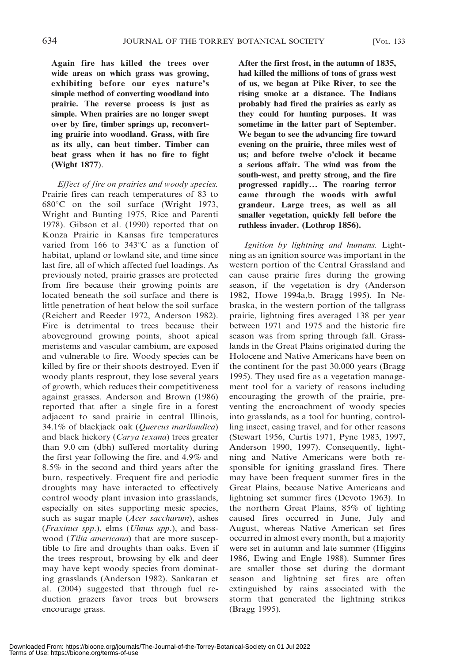Again fire has killed the trees over wide areas on which grass was growing, exhibiting before our eyes nature's simple method of converting woodland into prairie. The reverse process is just as simple. When prairies are no longer swept over by fire, timber springs up, reconverting prairie into woodland. Grass, with fire as its ally, can beat timber. Timber can beat grass when it has no fire to fight (Wight 1877).

Effect of fire on prairies and woody species. Prairie fires can reach temperatures of 83 to  $680^{\circ}$ C on the soil surface (Wright 1973, Wright and Bunting 1975, Rice and Parenti 1978). Gibson et al. (1990) reported that on Konza Prairie in Kansas fire temperatures varied from 166 to  $343^{\circ}$ C as a function of habitat, upland or lowland site, and time since last fire, all of which affected fuel loadings. As previously noted, prairie grasses are protected from fire because their growing points are located beneath the soil surface and there is little penetration of heat below the soil surface (Reichert and Reeder 1972, Anderson 1982). Fire is detrimental to trees because their aboveground growing points, shoot apical meristems and vascular cambium, are exposed and vulnerable to fire. Woody species can be killed by fire or their shoots destroyed. Even if woody plants resprout, they lose several years of growth, which reduces their competitiveness against grasses. Anderson and Brown (1986) reported that after a single fire in a forest adjacent to sand prairie in central Illinois, 34.1% of blackjack oak (Quercus marilandica) and black hickory (Carya texana) trees greater than 9.0 cm (dbh) suffered mortality during the first year following the fire, and 4.9% and 8.5% in the second and third years after the burn, respectively. Frequent fire and periodic droughts may have interacted to effectively control woody plant invasion into grasslands, especially on sites supporting mesic species, such as sugar maple (*Acer saccharum*), ashes (Fraxinus spp.), elms (Ulmus spp.), and basswood (*Tilia americana*) that are more susceptible to fire and droughts than oaks. Even if the trees resprout, browsing by elk and deer may have kept woody species from dominating grasslands (Anderson 1982). Sankaran et al. (2004) suggested that through fuel reduction grazers favor trees but browsers encourage grass.

After the first frost, in the autumn of 1835, had killed the millions of tons of grass west of us, we began at Pike River, to see the rising smoke at a distance. The Indians probably had fired the prairies as early as they could for hunting purposes. It was sometime in the latter part of September. We began to see the advancing fire toward evening on the prairie, three miles west of us; and before twelve o'clock it became a serious affair. The wind was from the south-west, and pretty strong, and the fire progressed rapidly… The roaring terror came through the woods with awful grandeur. Large trees, as well as all smaller vegetation, quickly fell before the ruthless invader. (Lothrop 1856).

Ignition by lightning and humans. Lightning as an ignition source was important in the western portion of the Central Grassland and can cause prairie fires during the growing season, if the vegetation is dry (Anderson 1982, Howe 1994a,b, Bragg 1995). In Nebraska, in the western portion of the tallgrass prairie, lightning fires averaged 138 per year between 1971 and 1975 and the historic fire season was from spring through fall. Grasslands in the Great Plains originated during the Holocene and Native Americans have been on the continent for the past 30,000 years (Bragg 1995). They used fire as a vegetation management tool for a variety of reasons including encouraging the growth of the prairie, preventing the encroachment of woody species into grasslands, as a tool for hunting, controlling insect, easing travel, and for other reasons (Stewart 1956, Curtis 1971, Pyne 1983, 1997, Anderson 1990, 1997). Consequently, lightning and Native Americans were both responsible for igniting grassland fires. There may have been frequent summer fires in the Great Plains, because Native Americans and lightning set summer fires (Devoto 1963). In the northern Great Plains, 85% of lighting caused fires occurred in June, July and August, whereas Native American set fires occurred in almost every month, but a majority were set in autumn and late summer (Higgins 1986, Ewing and Engle 1988). Summer fires are smaller those set during the dormant season and lightning set fires are often extinguished by rains associated with the storm that generated the lightning strikes (Bragg 1995).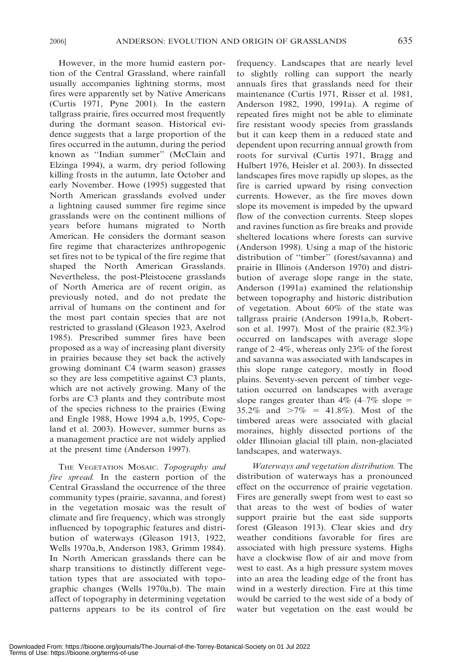However, in the more humid eastern portion of the Central Grassland, where rainfall usually accompanies lightning storms, most fires were apparently set by Native Americans (Curtis 1971, Pyne 2001). In the eastern tallgrass prairie, fires occurred most frequently during the dormant season. Historical evidence suggests that a large proportion of the fires occurred in the autumn, during the period known as ''Indian summer'' (McClain and Elzinga 1994), a warm, dry period following killing frosts in the autumn, late October and early November. Howe (1995) suggested that North American grasslands evolved under a lightning caused summer fire regime since grasslands were on the continent millions of years before humans migrated to North American. He considers the dormant season fire regime that characterizes anthropogenic set fires not to be typical of the fire regime that shaped the North American Grasslands. Nevertheless, the post-Pleistocene grasslands of North America are of recent origin, as previously noted, and do not predate the arrival of humans on the continent and for the most part contain species that are not restricted to grassland (Gleason 1923, Axelrod 1985). Prescribed summer fires have been proposed as a way of increasing plant diversity in prairies because they set back the actively growing dominant C4 (warm season) grasses so they are less competitive against C3 plants, which are not actively growing. Many of the forbs are C3 plants and they contribute most of the species richness to the prairies (Ewing and Engle 1988, Howe 1994 a,b, 1995, Copeland et al. 2003). However, summer burns as a management practice are not widely applied at the present time (Anderson 1997).

THE VEGETATION MOSAIC. Topography and fire spread. In the eastern portion of the Central Grassland the occurrence of the three community types (prairie, savanna, and forest) in the vegetation mosaic was the result of climate and fire frequency, which was strongly influenced by topographic features and distribution of waterways (Gleason 1913, 1922, Wells 1970a,b, Anderson 1983, Grimm 1984). In North American grasslands there can be sharp transitions to distinctly different vegetation types that are associated with topographic changes (Wells 1970a,b). The main affect of topography in determining vegetation patterns appears to be its control of fire frequency. Landscapes that are nearly level to slightly rolling can support the nearly annuals fires that grasslands need for their maintenance (Curtis 1971, Risser et al. 1981, Anderson 1982, 1990, 1991a). A regime of repeated fires might not be able to eliminate fire resistant woody species from grasslands but it can keep them in a reduced state and dependent upon recurring annual growth from roots for survival (Curtis 1971, Bragg and Hulbert 1976, Heisler et al. 2003). In dissected landscapes fires move rapidly up slopes, as the fire is carried upward by rising convection currents. However, as the fire moves down slope its movement is impeded by the upward flow of the convection currents. Steep slopes and ravines function as fire breaks and provide sheltered locations where forests can survive (Anderson 1998). Using a map of the historic distribution of ''timber'' (forest/savanna) and prairie in Illinois (Anderson 1970) and distribution of average slope range in the state, Anderson (1991a) examined the relationship between topography and historic distribution of vegetation. About 60% of the state was tallgrass prairie (Anderson 1991a,b, Robertson et al. 1997). Most of the prairie (82.3%) occurred on landscapes with average slope range of 2–4%, whereas only 23% of the forest and savanna was associated with landscapes in this slope range category, mostly in flood plains. Seventy-seven percent of timber vegetation occurred on landscapes with average slope ranges greater than  $4\%$  (4–7% slope = 35.2% and  $>7\% = 41.8\%$ ). Most of the timbered areas were associated with glacial moraines, highly dissected portions of the older Illinoian glacial till plain, non-glaciated landscapes, and waterways.

Waterways and vegetation distribution. The distribution of waterways has a pronounced effect on the occurrence of prairie vegetation. Fires are generally swept from west to east so that areas to the west of bodies of water support prairie but the east side supports forest (Gleason 1913). Clear skies and dry weather conditions favorable for fires are associated with high pressure systems. Highs have a clockwise flow of air and move from west to east. As a high pressure system moves into an area the leading edge of the front has wind in a westerly direction. Fire at this time would be carried to the west side of a body of water but vegetation on the east would be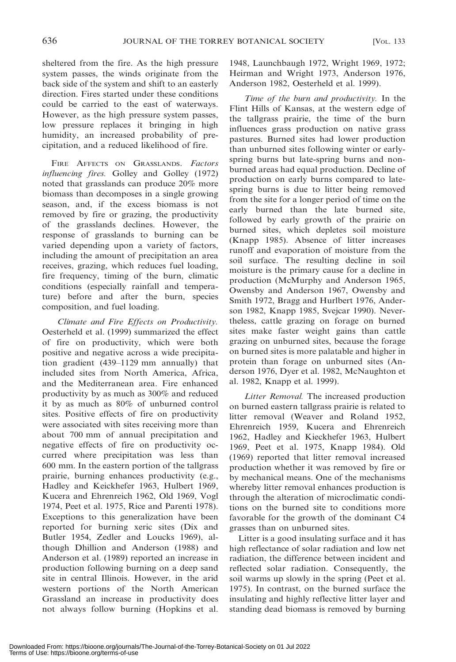sheltered from the fire. As the high pressure system passes, the winds originate from the back side of the system and shift to an easterly direction. Fires started under these conditions could be carried to the east of waterways. However, as the high pressure system passes, low pressure replaces it bringing in high humidity, an increased probability of precipitation, and a reduced likelihood of fire.

FIRE AFFECTS ON GRASSLANDS. Factors influencing fires. Golley and Golley (1972) noted that grasslands can produce 20% more biomass than decomposes in a single growing season, and, if the excess biomass is not removed by fire or grazing, the productivity of the grasslands declines. However, the response of grasslands to burning can be varied depending upon a variety of factors, including the amount of precipitation an area receives, grazing, which reduces fuel loading, fire frequency, timing of the burn, climatic conditions (especially rainfall and temperature) before and after the burn, species composition, and fuel loading.

Climate and Fire Effects on Productivity. Oesterheld et al. (1999) summarized the effect of fire on productivity, which were both positive and negative across a wide precipitation gradient (439–1129 mm annually) that included sites from North America, Africa, and the Mediterranean area. Fire enhanced productivity by as much as 300% and reduced it by as much as 80% of unburned control sites. Positive effects of fire on productivity were associated with sites receiving more than about 700 mm of annual precipitation and negative effects of fire on productivity occurred where precipitation was less than 600 mm. In the eastern portion of the tallgrass prairie, burning enhances productivity (e.g., Hadley and Keickhefer 1963, Hulbert 1969, Kucera and Ehrenreich 1962, Old 1969, Vogl 1974, Peet et al. 1975, Rice and Parenti 1978). Exceptions to this generalization have been reported for burning xeric sites (Dix and Butler 1954, Zedler and Loucks 1969), although Dhillion and Anderson (1988) and Anderson et al. (1989) reported an increase in production following burning on a deep sand site in central Illinois. However, in the arid western portions of the North American Grassland an increase in productivity does not always follow burning (Hopkins et al. 1948, Launchbaugh 1972, Wright 1969, 1972; Heirman and Wright 1973, Anderson 1976, Anderson 1982, Oesterheld et al. 1999).

Time of the burn and productivity. In the Flint Hills of Kansas, at the western edge of the tallgrass prairie, the time of the burn influences grass production on native grass pastures. Burned sites had lower production than unburned sites following winter or earlyspring burns but late-spring burns and nonburned areas had equal production. Decline of production on early burns compared to latespring burns is due to litter being removed from the site for a longer period of time on the early burned than the late burned site, followed by early growth of the prairie on burned sites, which depletes soil moisture (Knapp 1985). Absence of litter increases runoff and evaporation of moisture from the soil surface. The resulting decline in soil moisture is the primary cause for a decline in production (McMurphy and Anderson 1965, Owensby and Anderson 1967, Owensby and Smith 1972, Bragg and Hurlbert 1976, Anderson 1982, Knapp 1985, Svejcar 1990). Nevertheless, cattle grazing on forage on burned sites make faster weight gains than cattle grazing on unburned sites, because the forage on burned sites is more palatable and higher in protein than forage on unburned sites (Anderson 1976, Dyer et al. 1982, McNaughton et al. 1982, Knapp et al. 1999).

Litter Removal. The increased production on burned eastern tallgrass prairie is related to litter removal (Weaver and Roland 1952, Ehrenreich 1959, Kucera and Ehrenreich 1962, Hadley and Kieckhefer 1963, Hulbert 1969, Peet et al. 1975, Knapp 1984). Old (1969) reported that litter removal increased production whether it was removed by fire or by mechanical means. One of the mechanisms whereby litter removal enhances production is through the alteration of microclimatic conditions on the burned site to conditions more favorable for the growth of the dominant C4 grasses than on unburned sites.

Litter is a good insulating surface and it has high reflectance of solar radiation and low net radiation, the difference between incident and reflected solar radiation. Consequently, the soil warms up slowly in the spring (Peet et al. 1975). In contrast, on the burned surface the insulating and highly reflective litter layer and standing dead biomass is removed by burning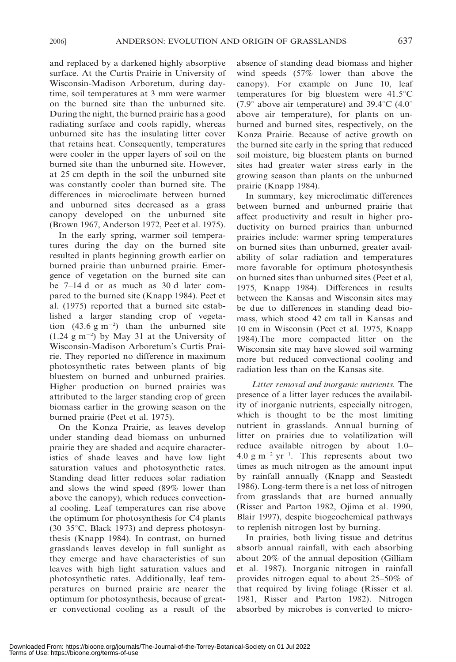and replaced by a darkened highly absorptive surface. At the Curtis Prairie in University of Wisconsin-Madison Arboretum, during daytime, soil temperatures at 3 mm were warmer on the burned site than the unburned site. During the night, the burned prairie has a good radiating surface and cools rapidly, whereas unburned site has the insulating litter cover that retains heat. Consequently, temperatures were cooler in the upper layers of soil on the burned site than the unburned site. However, at 25 cm depth in the soil the unburned site was constantly cooler than burned site. The differences in microclimate between burned and unburned sites decreased as a grass canopy developed on the unburned site (Brown 1967, Anderson 1972, Peet et al. 1975).

In the early spring, warmer soil temperatures during the day on the burned site resulted in plants beginning growth earlier on burned prairie than unburned prairie. Emergence of vegetation on the burned site can be 7–14 d or as much as 30 d later compared to the burned site (Knapp 1984). Peet et al. (1975) reported that a burned site established a larger standing crop of vegetation  $(43.6 \text{ g m}^{-2})$  than the unburned site  $(1.24 \text{ g m}^{-2})$  by May 31 at the University of Wisconsin-Madison Arboretum's Curtis Prairie. They reported no difference in maximum photosynthetic rates between plants of big bluestem on burned and unburned prairies. Higher production on burned prairies was attributed to the larger standing crop of green biomass earlier in the growing season on the burned prairie (Peet et al. 1975).

On the Konza Prairie, as leaves develop under standing dead biomass on unburned prairie they are shaded and acquire characteristics of shade leaves and have low light saturation values and photosynthetic rates. Standing dead litter reduces solar radiation and slows the wind speed (89% lower than above the canopy), which reduces convectional cooling. Leaf temperatures can rise above the optimum for photosynthesis for C4 plants  $(30-35\degree C, Black 1973)$  and depress photosynthesis (Knapp 1984). In contrast, on burned grasslands leaves develop in full sunlight as they emerge and have characteristics of sun leaves with high light saturation values and photosynthetic rates. Additionally, leaf temperatures on burned prairie are nearer the optimum for photosynthesis, because of greater convectional cooling as a result of the absence of standing dead biomass and higher wind speeds (57% lower than above the canopy). For example on June 10, leaf temperatures for big bluestem were  $41.5^{\circ}$ C (7.9 $\degree$  above air temperature) and 39.4 $\degree$ C (4.0 $\degree$ ) above air temperature), for plants on unburned and burned sites, respectively, on the Konza Prairie. Because of active growth on the burned site early in the spring that reduced soil moisture, big bluestem plants on burned sites had greater water stress early in the growing season than plants on the unburned prairie (Knapp 1984).

In summary, key microclimatic differences between burned and unburned prairie that affect productivity and result in higher productivity on burned prairies than unburned prairies include: warmer spring temperatures on burned sites than unburned, greater availability of solar radiation and temperatures more favorable for optimum photosynthesis on burned sites than unburned sites (Peet et al, 1975, Knapp 1984). Differences in results between the Kansas and Wisconsin sites may be due to differences in standing dead biomass, which stood 42 cm tall in Kansas and 10 cm in Wisconsin (Peet et al. 1975, Knapp 1984).The more compacted litter on the Wisconsin site may have slowed soil warming more but reduced convectional cooling and radiation less than on the Kansas site.

Litter removal and inorganic nutrients. The presence of a litter layer reduces the availability of inorganic nutrients, especially nitrogen, which is thought to be the most limiting nutrient in grasslands. Annual burning of litter on prairies due to volatilization will reduce available nitrogen by about 1.0–  $4.0 \text{ g m}^{-2} \text{ yr}^{-1}$ . This represents about two times as much nitrogen as the amount input by rainfall annually (Knapp and Seastedt 1986). Long-term there is a net loss of nitrogen from grasslands that are burned annually (Risser and Parton 1982, Ojima et al. 1990, Blair 1997), despite biogeochemical pathways to replenish nitrogen lost by burning.

In prairies, both living tissue and detritus absorb annual rainfall, with each absorbing about 20% of the annual deposition (Gilliam et al. 1987). Inorganic nitrogen in rainfall provides nitrogen equal to about 25–50% of that required by living foliage (Risser et al. 1981, Risser and Parton 1982). Nitrogen absorbed by microbes is converted to micro-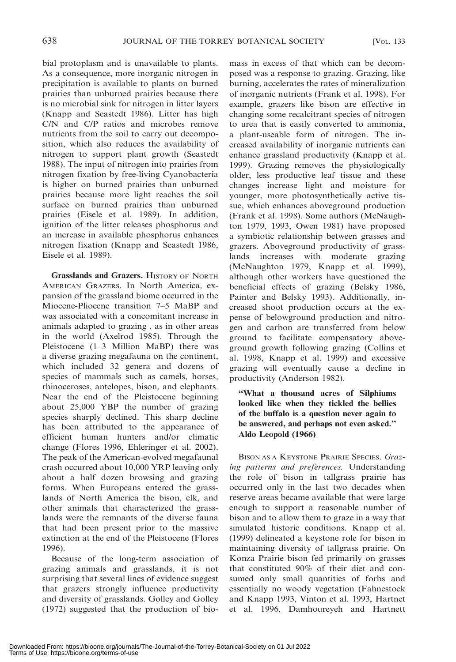bial protoplasm and is unavailable to plants. As a consequence, more inorganic nitrogen in precipitation is available to plants on burned prairies than unburned prairies because there is no microbial sink for nitrogen in litter layers (Knapp and Seastedt 1986). Litter has high C/N and C/P ratios and microbes remove nutrients from the soil to carry out decomposition, which also reduces the availability of nitrogen to support plant growth (Seastedt 1988). The input of nitrogen into prairies from nitrogen fixation by free-living Cyanobacteria is higher on burned prairies than unburned prairies because more light reaches the soil surface on burned prairies than unburned prairies (Eisele et al. 1989). In addition, ignition of the litter releases phosphorus and an increase in available phosphorus enhances nitrogen fixation (Knapp and Seastedt 1986, Eisele et al. 1989).

Grasslands and Grazers. HISTORY OF NORTH AMERICAN GRAZERS. In North America, expansion of the grassland biome occurred in the Miocene-Pliocene transition 7–5 MaBP and was associated with a concomitant increase in animals adapted to grazing , as in other areas in the world (Axelrod 1985). Through the Pleistocene (1–3 Million MaBP) there was a diverse grazing megafauna on the continent, which included 32 genera and dozens of species of mammals such as camels, horses, rhinoceroses, antelopes, bison, and elephants. Near the end of the Pleistocene beginning about 25,000 YBP the number of grazing species sharply declined. This sharp decline has been attributed to the appearance of efficient human hunters and/or climatic change (Flores 1996, Ehleringer et al. 2002). The peak of the American-evolved megafaunal crash occurred about 10,000 YRP leaving only about a half dozen browsing and grazing forms. When Europeans entered the grasslands of North America the bison, elk, and other animals that characterized the grasslands were the remnants of the diverse fauna that had been present prior to the massive extinction at the end of the Pleistocene (Flores 1996).

Because of the long-term association of grazing animals and grasslands, it is not surprising that several lines of evidence suggest that grazers strongly influence productivity and diversity of grasslands. Golley and Golley (1972) suggested that the production of biomass in excess of that which can be decomposed was a response to grazing. Grazing, like burning, accelerates the rates of mineralization of inorganic nutrients (Frank et al. 1998). For example, grazers like bison are effective in changing some recalcitrant species of nitrogen to urea that is easily converted to ammonia, a plant-useable form of nitrogen. The increased availability of inorganic nutrients can enhance grassland productivity (Knapp et al. 1999). Grazing removes the physiologically older, less productive leaf tissue and these changes increase light and moisture for younger, more photosynthetically active tissue, which enhances aboveground production (Frank et al. 1998). Some authors (McNaughton 1979, 1993, Owen 1981) have proposed a symbiotic relationship between grasses and grazers. Aboveground productivity of grasslands increases with moderate grazing (McNaughton 1979, Knapp et al. 1999), although other workers have questioned the beneficial effects of grazing (Belsky 1986, Painter and Belsky 1993). Additionally, increased shoot production occurs at the expense of belowground production and nitrogen and carbon are transferred from below ground to facilitate compensatory aboveground growth following grazing (Collins et al. 1998, Knapp et al. 1999) and excessive grazing will eventually cause a decline in productivity (Anderson 1982).

### ''What a thousand acres of Silphiums looked like when they tickled the bellies of the buffalo is a question never again to be answered, and perhaps not even asked.'' Aldo Leopold (1966)

BISON AS A KEYSTONE PRAIRIE SPECIES. Grazing patterns and preferences. Understanding the role of bison in tallgrass prairie has occurred only in the last two decades when reserve areas became available that were large enough to support a reasonable number of bison and to allow them to graze in a way that simulated historic conditions. Knapp et al. (1999) delineated a keystone role for bison in maintaining diversity of tallgrass prairie. On Konza Prairie bison fed primarily on grasses that constituted 90% of their diet and consumed only small quantities of forbs and essentially no woody vegetation (Fahnestock and Knapp 1993, Vinton et al. 1993, Hartnet et al. 1996, Damhoureyeh and Hartnett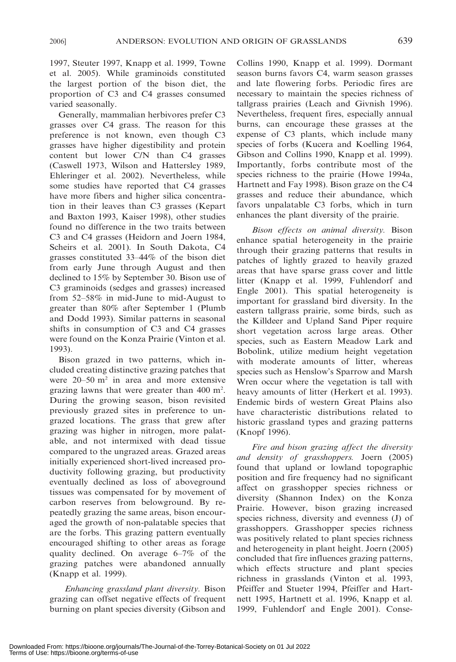1997, Steuter 1997, Knapp et al. 1999, Towne et al. 2005). While graminoids constituted the largest portion of the bison diet, the proportion of C3 and C4 grasses consumed varied seasonally.

Generally, mammalian herbivores prefer C3 grasses over C4 grass. The reason for this preference is not known, even though C3 grasses have higher digestibility and protein content but lower C/N than C4 grasses (Caswell 1973, Wilson and Hattersley 1989, Ehleringer et al. 2002). Nevertheless, while some studies have reported that C4 grasses have more fibers and higher silica concentration in their leaves than C3 grasses (Kepart and Baxton 1993, Kaiser 1998), other studies found no difference in the two traits between C3 and C4 grasses (Heidorn and Joern 1984, Scheirs et al. 2001). In South Dakota, C4 grasses constituted 33–44% of the bison diet from early June through August and then declined to 15% by September 30. Bison use of C3 graminoids (sedges and grasses) increased from 52–58% in mid-June to mid-August to greater than 80% after September 1 (Plumb and Dodd 1993). Similar patterns in seasonal shifts in consumption of C3 and C4 grasses were found on the Konza Prairie (Vinton et al. 1993).

Bison grazed in two patterns, which included creating distinctive grazing patches that were  $20-50$  m<sup>2</sup> in area and more extensive grazing lawns that were greater than 400 m<sup>2</sup>. During the growing season, bison revisited previously grazed sites in preference to ungrazed locations. The grass that grew after grazing was higher in nitrogen, more palatable, and not intermixed with dead tissue compared to the ungrazed areas. Grazed areas initially experienced short-lived increased productivity following grazing, but productivity eventually declined as loss of aboveground tissues was compensated for by movement of carbon reserves from belowground. By repeatedly grazing the same areas, bison encouraged the growth of non-palatable species that are the forbs. This grazing pattern eventually encouraged shifting to other areas as forage quality declined. On average 6–7% of the grazing patches were abandoned annually (Knapp et al. 1999).

Enhancing grassland plant diversity. Bison grazing can offset negative effects of frequent burning on plant species diversity (Gibson and Collins 1990, Knapp et al. 1999). Dormant season burns favors C4, warm season grasses and late flowering forbs. Periodic fires are necessary to maintain the species richness of tallgrass prairies (Leach and Givnish 1996). Nevertheless, frequent fires, especially annual burns, can encourage these grasses at the expense of C3 plants, which include many species of forbs (Kucera and Koelling 1964, Gibson and Collins 1990, Knapp et al. 1999). Importantly, forbs contribute most of the species richness to the prairie (Howe 1994a, Hartnett and Fay 1998). Bison graze on the C4 grasses and reduce their abundance, which favors unpalatable C3 forbs, which in turn enhances the plant diversity of the prairie.

Bison effects on animal diversity. Bison enhance spatial heterogeneity in the prairie through their grazing patterns that results in patches of lightly grazed to heavily grazed areas that have sparse grass cover and little litter (Knapp et al. 1999, Fuhlendorf and Engle 2001). This spatial heterogeneity is important for grassland bird diversity. In the eastern tallgrass prairie, some birds, such as the Killdeer and Upland Sand Piper require short vegetation across large areas. Other species, such as Eastern Meadow Lark and Bobolink, utilize medium height vegetation with moderate amounts of litter, whereas species such as Henslow's Sparrow and Marsh Wren occur where the vegetation is tall with heavy amounts of litter (Herkert et al. 1993). Endemic birds of western Great Plains also have characteristic distributions related to historic grassland types and grazing patterns (Knopf 1996).

Fire and bison grazing affect the diversity and density of grasshoppers. Joern (2005) found that upland or lowland topographic position and fire frequency had no significant affect on grasshopper species richness or diversity (Shannon Index) on the Konza Prairie. However, bison grazing increased species richness, diversity and evenness (J) of grasshoppers. Grasshopper species richness was positively related to plant species richness and heterogeneity in plant height. Joern (2005) concluded that fire influences grazing patterns, which effects structure and plant species richness in grasslands (Vinton et al. 1993, Pfeiffer and Stueter 1994, Pfeiffer and Hartnett 1995, Hartnett et al. 1996, Knapp et al. 1999, Fuhlendorf and Engle 2001). Conse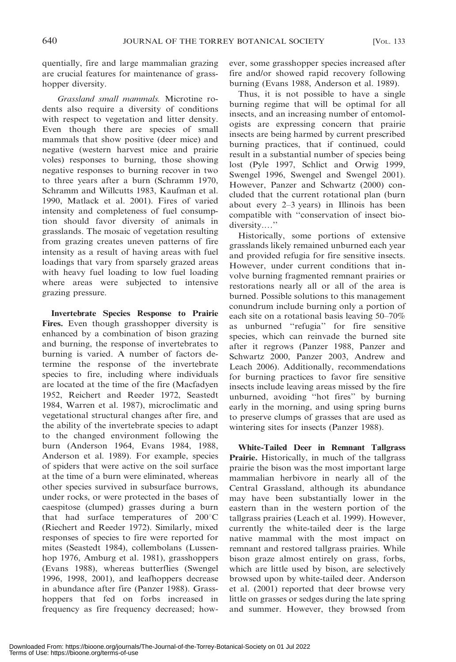quentially, fire and large mammalian grazing are crucial features for maintenance of grasshopper diversity.

Grassland small mammals. Microtine rodents also require a diversity of conditions with respect to vegetation and litter density. Even though there are species of small mammals that show positive (deer mice) and negative (western harvest mice and prairie voles) responses to burning, those showing negative responses to burning recover in two to three years after a burn (Schramm 1970, Schramm and Willcutts 1983, Kaufman et al. 1990, Matlack et al. 2001). Fires of varied intensity and completeness of fuel consumption should favor diversity of animals in grasslands. The mosaic of vegetation resulting from grazing creates uneven patterns of fire intensity as a result of having areas with fuel loadings that vary from sparsely grazed areas with heavy fuel loading to low fuel loading where areas were subjected to intensive grazing pressure.

Invertebrate Species Response to Prairie Fires. Even though grasshopper diversity is enhanced by a combination of bison grazing and burning, the response of invertebrates to burning is varied. A number of factors determine the response of the invertebrate species to fire, including where individuals are located at the time of the fire (Macfadyen 1952, Reichert and Reeder 1972, Seastedt 1984, Warren et al. 1987), microclimatic and vegetational structural changes after fire, and the ability of the invertebrate species to adapt to the changed environment following the burn (Anderson 1964, Evans 1984, 1988, Anderson et al. 1989). For example, species of spiders that were active on the soil surface at the time of a burn were eliminated, whereas other species survived in subsurface burrows, under rocks, or were protected in the bases of caespitose (clumped) grasses during a burn that had surface temperatures of  $200^{\circ}$ C (Riechert and Reeder 1972). Similarly, mixed responses of species to fire were reported for mites (Seastedt 1984), collembolans (Lussenhop 1976, Amburg et al. 1981), grasshoppers (Evans 1988), whereas butterflies (Swengel 1996, 1998, 2001), and leafhoppers decrease in abundance after fire (Panzer 1988). Grasshoppers that fed on forbs increased in frequency as fire frequency decreased; however, some grasshopper species increased after fire and/or showed rapid recovery following burning (Evans 1988, Anderson et al. 1989).

Thus, it is not possible to have a single burning regime that will be optimal for all insects, and an increasing number of entomologists are expressing concern that prairie insects are being harmed by current prescribed burning practices, that if continued, could result in a substantial number of species being lost (Pyle 1997, Schlict and Orwig 1999, Swengel 1996, Swengel and Swengel 2001). However, Panzer and Schwartz (2000) concluded that the current rotational plan (burn about every 2–3 years) in Illinois has been compatible with ''conservation of insect biodiversity.…''

Historically, some portions of extensive grasslands likely remained unburned each year and provided refugia for fire sensitive insects. However, under current conditions that involve burning fragmented remnant prairies or restorations nearly all or all of the area is burned. Possible solutions to this management conundrum include burning only a portion of each site on a rotational basis leaving 50–70% as unburned ''refugia'' for fire sensitive species, which can reinvade the burned site after it regrows (Panzer 1988, Panzer and Schwartz 2000, Panzer 2003, Andrew and Leach 2006). Additionally, recommendations for burning practices to favor fire sensitive insects include leaving areas missed by the fire unburned, avoiding ''hot fires'' by burning early in the morning, and using spring burns to preserve clumps of grasses that are used as wintering sites for insects (Panzer 1988).

White-Tailed Deer in Remnant Tallgrass Prairie. Historically, in much of the tallgrass prairie the bison was the most important large mammalian herbivore in nearly all of the Central Grassland, although its abundance may have been substantially lower in the eastern than in the western portion of the tallgrass prairies (Leach et al. 1999). However, currently the white-tailed deer is the large native mammal with the most impact on remnant and restored tallgrass prairies. While bison graze almost entirely on grass, forbs, which are little used by bison, are selectively browsed upon by white-tailed deer. Anderson et al. (2001) reported that deer browse very little on grasses or sedges during the late spring and summer. However, they browsed from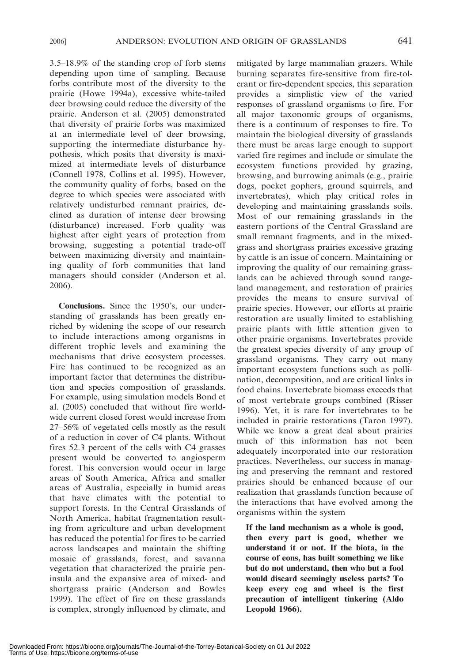3.5–18.9% of the standing crop of forb stems depending upon time of sampling. Because forbs contribute most of the diversity to the prairie (Howe 1994a), excessive white-tailed deer browsing could reduce the diversity of the prairie. Anderson et al. (2005) demonstrated that diversity of prairie forbs was maximized at an intermediate level of deer browsing, supporting the intermediate disturbance hypothesis, which posits that diversity is maximized at intermediate levels of disturbance (Connell 1978, Collins et al. 1995). However, the community quality of forbs, based on the degree to which species were associated with relatively undisturbed remnant prairies, declined as duration of intense deer browsing (disturbance) increased. Forb quality was highest after eight years of protection from browsing, suggesting a potential trade-off between maximizing diversity and maintaining quality of forb communities that land managers should consider (Anderson et al. 2006).

Conclusions. Since the 1950's, our understanding of grasslands has been greatly enriched by widening the scope of our research to include interactions among organisms in different trophic levels and examining the mechanisms that drive ecosystem processes. Fire has continued to be recognized as an important factor that determines the distribution and species composition of grasslands. For example, using simulation models Bond et al. (2005) concluded that without fire worldwide current closed forest would increase from 27–56% of vegetated cells mostly as the result of a reduction in cover of C4 plants. Without fires 52.3 percent of the cells with C4 grasses present would be converted to angiosperm forest. This conversion would occur in large areas of South America, Africa and smaller areas of Australia, especially in humid areas that have climates with the potential to support forests. In the Central Grasslands of North America, habitat fragmentation resulting from agriculture and urban development has reduced the potential for fires to be carried across landscapes and maintain the shifting mosaic of grasslands, forest, and savanna vegetation that characterized the prairie peninsula and the expansive area of mixed- and shortgrass prairie (Anderson and Bowles 1999). The effect of fire on these grasslands is complex, strongly influenced by climate, and mitigated by large mammalian grazers. While burning separates fire-sensitive from fire-tolerant or fire-dependent species, this separation provides a simplistic view of the varied responses of grassland organisms to fire. For all major taxonomic groups of organisms, there is a continuum of responses to fire. To maintain the biological diversity of grasslands there must be areas large enough to support varied fire regimes and include or simulate the ecosystem functions provided by grazing, browsing, and burrowing animals (e.g., prairie dogs, pocket gophers, ground squirrels, and invertebrates), which play critical roles in developing and maintaining grasslands soils. Most of our remaining grasslands in the eastern portions of the Central Grassland are small remnant fragments, and in the mixedgrass and shortgrass prairies excessive grazing by cattle is an issue of concern. Maintaining or improving the quality of our remaining grasslands can be achieved through sound rangeland management, and restoration of prairies provides the means to ensure survival of prairie species. However, our efforts at prairie restoration are usually limited to establishing prairie plants with little attention given to other prairie organisms. Invertebrates provide the greatest species diversity of any group of grassland organisms. They carry out many important ecosystem functions such as pollination, decomposition, and are critical links in food chains. Invertebrate biomass exceeds that of most vertebrate groups combined (Risser 1996). Yet, it is rare for invertebrates to be included in prairie restorations (Taron 1997). While we know a great deal about prairies much of this information has not been adequately incorporated into our restoration practices. Nevertheless, our success in managing and preserving the remnant and restored prairies should be enhanced because of our realization that grasslands function because of the interactions that have evolved among the organisms within the system

If the land mechanism as a whole is good, then every part is good, whether we understand it or not. If the biota, in the course of eons, has built something we like but do not understand, then who but a fool would discard seemingly useless parts? To keep every cog and wheel is the first precaution of intelligent tinkering (Aldo Leopold 1966).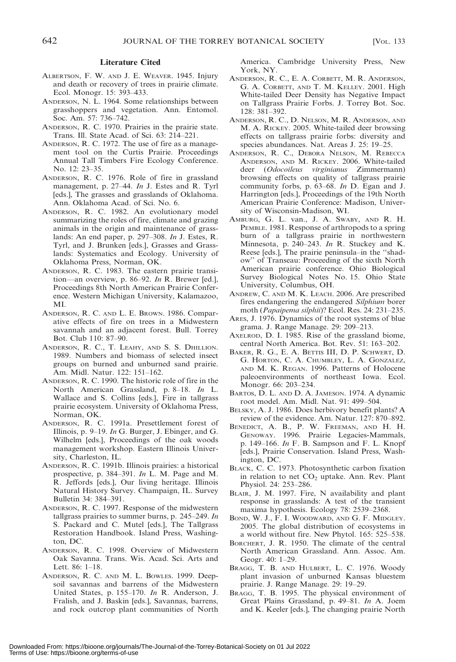#### Literature Cited

- ALBERTSON, F. W. AND J. E. WEAVER. 1945. Injury and death or recovery of trees in prairie climate. Ecol. Monogr. 15: 393–433.
- ANDERSON, N. L. 1964. Some relationships between grasshoppers and vegetation. Ann. Entomol. Soc. Am. 57: 736–742.
- ANDERSON, R. C. 1970. Prairies in the prairie state. Trans. Ill. State Acad. of Sci. 63: 214–221.
- ANDERSON, R. C. 1972. The use of fire as a management tool on the Curtis Prairie. Proceedings Annual Tall Timbers Fire Ecology Conference. No. 12: 23–35.
- ANDERSON, R. C. 1976. Role of fire in grassland management, p. 27–44. In J. Estes and R. Tyrl [eds.], The grasses and grasslands of Oklahoma. Ann. Oklahoma Acad. of Sci. No. 6.
- ANDERSON, R. C. 1982. An evolutionary model summarizing the roles of fire, climate and grazing animals in the origin and maintenance of grasslands: An end paper, p. 297–308. In J. Estes, R. Tyrl, and J. Brunken [eds.], Grasses and Grasslands: Systematics and Ecology. University of Oklahoma Press, Norman, OK.
- ANDERSON, R. C. 1983. The eastern prairie transition—an overview, p. 86–92. In R. Brewer [ed.], Proceedings 8th North American Prairie Conference. Western Michigan University, Kalamazoo, MI.
- ANDERSON, R. C. AND L. E. BROWN. 1986. Comparative effects of fire on trees in a Midwestern savannah and an adjacent forest. Bull. Torrey Bot. Club 110: 87–90.
- ANDERSON, R. C., T. LEAHY, AND S. S. DHILLION. 1989. Numbers and biomass of selected insect groups on burned and unburned sand prairie. Am. Midl. Natur. 122: 151–162.
- ANDERSON, R. C. 1990. The historic role of fire in the North American Grassland, p. 8–18. In L. Wallace and S. Collins [eds.], Fire in tallgrass prairie ecosystem. University of Oklahoma Press, Norman, OK.
- ANDERSON, R. C. 1991a. Presettlement forest of Illinois, p. 9–19. In G. Burger, J. Ebinger, and G. Wilhelm [eds.], Proceedings of the oak woods management workshop. Eastern Illinois University, Charleston, IL.
- ANDERSON, R. C. 1991b. Illinois prairies: a historical prospective, p. 384–391. In L. M. Page and M. R. Jeffords [eds.], Our living heritage. Illinois Natural History Survey. Champaign, IL. Survey Bulletin 34: 384–391.
- ANDERSON, R. C. 1997. Response of the midwestern tallgrass prairies to summer burns, p.  $245-249$ . In S. Packard and C. Mutel [eds.], The Tallgrass Restoration Handbook. Island Press, Washington, DC.
- ANDERSON, R. C. 1998. Overview of Midwestern Oak Savanna. Trans. Wis. Acad. Sci. Arts and Lett. 86: 1–18.
- ANDERSON, R. C. AND M. L. BOWLES. 1999. Deepsoil savannas and barrens of the Midwestern United States, p. 155–170. In R. Anderson, J. Fralish, and J. Baskin [eds.], Savannas, barrens, and rock outcrop plant communities of North

America. Cambridge University Press, New York, NY.

- ANDERSON, R. C., E. A. CORBETT, M. R. ANDERSON, G. A. CORBETT, AND T. M. KELLEY. 2001. High White-tailed Deer Density has Negative Impact on Tallgrass Prairie Forbs. J. Torrey Bot. Soc. 128: 381–392.
- ANDERSON, R. C., D. NELSON, M. R. ANDERSON, AND M. A. RICKEY. 2005. White-tailed deer browsing effects on tallgrass prairie forbs: diversity and species abundances. Nat. Areas J. 25: 19–25.
- ANDERSON, R. C., DEBORA NELSON, M. REBECCA ANDERSON, AND M. RICKEY. 2006. White-tailed deer (Odocoileus virginianus Zimmermann) browsing effects on quality of tallgrass prairie community forbs, p.  $63-68$ . In D. Egan and J. Harrington [eds.], Proceedings of the 19th North American Prairie Conference: Madison, University of Wisconsin-Madison, WI.
- AMBURG, G. L. van., J. A. SWABY, AND R. H. PEMBLE. 1981. Response of arthropods to a spring burn of a tallgrass prairie in northwestern Minnesota, p. 240–243. In R. Stuckey and K. Reese [eds.], The prairie peninsula–in the ''shadow'' of Transeau: Proceeding of the sixth North American prairie conference. Ohio Biological Survey Biological Notes No. 15. Ohio State University, Columbus, OH.
- ANDREW, C. AND M. K. LEACH. 2006. Are prescribed fires endangering the endangered Silphium borer moth (Papaipema silphii)? Ecol. Res. 24: 231–235.
- ARES, J. 1976. Dynamics of the root systems of blue grama. J. Range Manage. 29: 209–213.
- AXELROD, D. I. 1985. Rise of the grassland biome, central North America. Bot. Rev. 51: 163–202.
- BAKER, R. G., E. A. BETTIS III, D. P. SCHWERT, D. G. HORTON, C. A. CHUMBLEY, L. A. GONZALEZ, AND M. K. REGAN. 1996. Patterns of Holocene paleoenvironments of northeast Iowa. Ecol. Monogr. 66: 203–234.
- BARTOS, D. L. AND D. A. JAMESON. 1974. A dynamic root model. Am. Midl. Nat. 91: 499–504.
- BELSKY, A. J. 1986. Does herbivory benefit plants? A review of the evidence. Am. Natur. 127: 870–892.
- BENEDICT, A. B., P. W. FREEMAN, AND H. H. GENOWAY. 1996. Prairie Legacies-Mammals, p.  $149-166$ . *In* F. B. Sampson and F. L. Knopf [eds.], Prairie Conservation. Island Press, Washington, DC.
- BLACK, C. C. 1973. Photosynthetic carbon fixation in relation to net  $CO<sub>2</sub>$  uptake. Ann. Rev. Plant Physiol. 24: 253–286.
- BLAIR, J. M. 1997. Fire, N availability and plant response in grasslands: A test of the transient maxima hypothesis. Ecology 78: 2539–2368.
- BOND, W. J., F. I. WOODWARD, AND G. F. MIDGLEY. 2005. The global distribution of ecosystems in a world without fire. New Phytol. 165: 525–538.
- BORCHERT, J. R. 1950. The climate of the central North American Grassland. Ann. Assoc. Am. Geogr. 40: 1–29.
- BRAGG, T. B. AND HULBERT, L. C. 1976. Woody plant invasion of unburned Kansas bluestem prairie. J. Range Manage. 29: 19–29.
- BRAGG, T. B. 1995. The physical environment of Great Plains Grassland, p. 49–81. In A. Joem and K. Keeler [eds.], The changing prairie North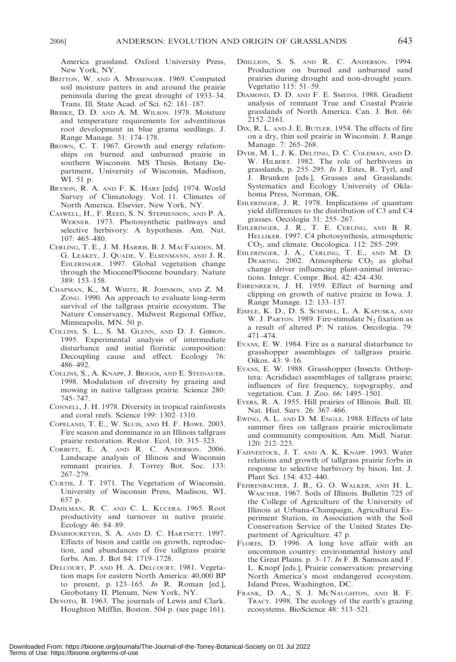America grassland. Oxford University Press, New York, NY.

- BRITTON, W. AND A. MESSENGER. 1969. Computed soil moisture patters in and around the prairie peninsula during the great drought of 1933–34. Trans. Ill. State Acad. of Sci. 62: 181–187.
- BRISKE, D. D. AND A. M. WILSON. 1978. Moisture and temperature requirements for adventitious root development in blue grama seedlings. J. Range Manage. 31: 174–178.
- BROWN, C. T. 1967. Growth and energy relationships on burned and unburned prairie in southern Wisconsin. MS Thesis. Botany Department, University of Wisconsin, Madison, WI. 51 p.
- BRYSON, R. A. AND F. K. HARE [eds]. 1974. World Survey of Climatology. Vol. 11. Climates of North America. Elsevier, New York, NY.
- CASWELL, H., F. REED, S. N. STEPHENSON, AND P. A. WERNER. 1973. Photosynthetic pathways and selective herbivory: A hypothesis. Am. Nat. 107: 465–480.
- CERLING, T. E., J. M. HARRIS, B. J. MACFADDEN, M. G. LEAKEY, J. QUADE, V. ELSENMANN, AND J. R. EHLERINGER. 1997. Global vegetation change through the Miocene/Pliocene boundary. Nature 389: 153–158.
- CHAPMAN, K., M. WHITE, R. JOHNSON, AND Z. M. ZONG. 1990. An approach to evaluate long-term survival of the tallgrass prairie ecosystem. The Nature Conservancy, Midwest Regional Office, Minneapolis, MN. 50 p.
- COLLINS, S. L., S. M. GLENN, AND D. J. GIBSON. 1995. Experimental analysis of intermediate disturbance and initial floristic composition: Decoupling cause and effect. Ecology 76: 486–492.
- COLLINS, S., A. KNAPP, J. BRIGGS, AND E. STEINAUER. 1998. Modulation of diversity by grazing and mowing in native tallgrass prairie. Science 280: 745–747.
- CONNELL, J. H. 1978. Diversity in tropical rainforests and coral reefs. Science 199: 1302–1310.
- COPELAND, T. E., W. SLUIS, AND H. F. HOWE. 2003. Fire season and dominance in an Illinois tallgrass prairie restoration. Restor. Ecol. 10: 315–323.
- CORBETT, E. A. AND R. C. ANDERSON. 2006. Landscape analysis of Illinois and Wisconsin remnant prairies. J. Torrey Bot. Soc. 133: 267–279.
- CURTIS, J. T. 1971. The Vegetation of Wisconsin. University of Wisconsin Press, Madison, WI. 657 p.
- DAHLMAN, R. C. AND C. L. KUCERA. 1965. Root productivity and turnover in native prairie. Ecology 46: 84–89.
- DAMHOUREYEH, S. A. AND D. C. HARTNETT. 1997. Effects of bison and cattle on growth, reproduction, and abundances of five tallgrass prairie forbs. Am. J. Bot 84: 1719–1728.
- DELCOURT, P. AND H. A. DELCOURT. 1981. Vegetation maps for eastern North America: 40,000 BP to present, p. 123–165. In R. Roman [ed.], Geobotany II. Plenum, New York, NY.
- DEVOTO, B. 1963. The journals of Lewis and Clark. Houghton Mifflin, Boston. 504 p. (see page 161).
- DHILLION, S. S. AND R. C. ANDERSON. 1994. Production on burned and unburned sand prairies during drought and non-drought years. Vegetatio 115: 51–59.
- DIAMOND, D. D. AND F. E. SMEINS. 1988. Gradient analysis of remnant True and Coastal Prairie grasslands of North America. Can. J. Bot. 66: 2152–2161.
- DIX, R. L. AND J. E. BUTLER. 1954. The effects of fire on a dry, thin soil prairie in Wisconsin. J. Range Manage. 7: 265–268.
- DYER, M. I., J. K. DELTING, D. C. COLEMAN, AND D. W. HILBERT. 1982. The role of herbivores in grasslands, p. 255–295. In J. Estes, R. Tyrl, and J. Brunken [eds.], Grasses and Grasslands: Systematics and Ecology University of Oklahoma Press, Norman, OK.
- EHLERINGER, J. R. 1978. Implications of quantum yield differences to the distribution of C3 and C4 grasses. Oecologia 31: 255–267.
- EHLERINGER, J. R., T. E. CERLING, AND B. R. HELLIKER. 1997. C4 photosynthesis, atmospheric CO2, and climate. Oecologica. 112: 285–299.
- EHLERINGER, J. A., CERLING, T. E., AND M. D. DEARING. 2002. Atmospheric  $CO<sub>2</sub>$  as global change driver influencing plant-animal interactions. Integr. Compr. Biol. 42: 424–430.
- EHRENREICH, J. H. 1959. Effect of burning and clipping on growth of native prairie in Iowa. J. Range Manage. 12: 133–137.
- EISELE, K. D., D. S. SCHIMEL, L. A. KAPUSKA, AND W. J. PARTON. 1989. Fire-stimulate  $N_2$  fixation as a result of altered P: N ratios. Oecologia. 79: 471–474.
- EVANS, E. W. 1984. Fire as a natural disturbance to grasshopper assemblages of tallgrass prairie. Oikos. 43: 9–16.
- EVANS, E. W. 1988. Grasshopper (Insects: Orthoptera: Acrididae) assemblages of tallgrass prairie; influences of fire frequency, topography, and vegetation. Can. J. Zoo. 66: 1495–1501.
- EVERS, R. A. 1955. Hill prairies of Illinois. Bull. Ill. Nat. Hist. Surv. 26: 367–466.
- EWING, A. L. AND D. M. ENGLE. 1988. Effects of late summer fires on tallgrass prairie microclimate and community composition. Am. Midl. Natur. 120: 212–223.
- FAHNESTOCK, J. T. AND A. K. KNAPP. 1993. Water relations and growth of tallgrass prairie forbs in response to selective herbivory by bison. Int. J. Plant Sci. 154: 432–440.
- FEHRENBACHER, J. B., G. O. WALKER, AND H. L. WASCHER. 1967. Soils of Illinois. Bulletin 725 of the College of Agriculture of the University of Illinois at Urbana-Champaign, Agricultural Experiment Station, in Association with the Soil Conservation Service of the United States Department of Agriculture. 47 p.
- FLORES, D. 1996. A long love affair with an uncommon country: environmental history and the Great Plains. p. 3–17. In F. B. Samson and F. L. Knopf [eds.], Prairie conservation: preserving North America's most endangered ecosystem. Island Press, Washington, DC.
- FRANK, D. A., S. J. MCNAUGHTON, AND B. F. TRACY. 1998. The ecology of the earth's grazing ecosystems. BioScience 48: 513–521.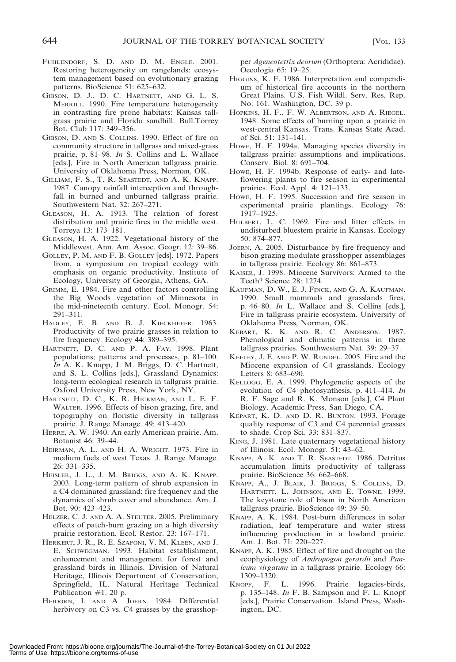- FUHLENDORF, S. D. AND D. M. ENGLE. 2001. Restoring heterogeneity on rangelands: ecosystem management based on evolutionary grazing patterns. BioScience 51: 625–632.
- GIBSON, D. J., D. C. HARTNETT, AND G. L. S. MERRILL. 1990. Fire temperature heterogeneity in contrasting fire prone habitats: Kansas tallgrass prairie and Florida sandhill. Bull.Torrey Bot. Club 117: 349–356.
- GIBSON, D. AND S. COLLINS. 1990. Effect of fire on community structure in tallgrass and mixed-grass prairie, p. 81–98. In S. Collins and L. Wallace [eds.], Fire in North American tallgrass prairie. University of Oklahoma Press, Norman, OK.
- GILLIAM, F. S., T. R. SEASTEDT, AND A. K. KNAPP. 1987. Canopy rainfall interception and throughfall in burned and unburned tallgrass prairie. Southwestern Nat. 32: 267–271.
- GLEASON, H. A. 1913. The relation of forest distribution and prairie fires in the middle west. Torreya 13: 173–181.
- GLEASON, H. A. 1922. Vegetational history of the Middlewest. Ann. Am. Assoc. Geogr. 12: 39–86.
- GOLLEY, P. M. AND F. B. GOLLEY [eds]. 1972. Papers from, a symposium on tropical ecology with emphasis on organic productivity. Institute of Ecology, University of Georgia, Athens, GA.
- GRIMM, E. 1984. Fire and other factors controlling the Big Woods vegetation of Minnesota in the mid-nineteenth century. Ecol. Monogr. 54: 291–311.
- HADLEY, E. B. AND B. J. KIECKHEFER. 1963. Productivity of two prairie grasses in relation to fire frequency. Ecology 44: 389–395.
- HARTNETT, D. C. AND P. A. FAY. 1998. Plant populations; patterns and processes, p. 81–100. In A. K. Knapp, J. M. Briggs, D. C. Hartnett, and S. L. Collins [eds.], Grassland Dynamics: long-term ecological research in tallgrass prairie. Oxford University Press, New York, NY.
- HARTNETT, D. C., K. R. HICKMAN, AND L. E. F. WALTER. 1996. Effects of bison grazing, fire, and topography on floristic diversity in tallgrass prairie. J. Range Manage. 49: 413–420.
- HERRE, A. W. 1940. An early American prairie. Am. Botanist 46: 39–44.
- HEIRMAN, A. L. AND H. A. WRIGHT. 1973. Fire in medium fuels of west Texas. J. Range Manage. 26: 331–335.
- HEISLER, J. L., J. M. BRIGGS, AND A. K. KNAPP. 2003. Long-term pattern of shrub expansion in a C4 dominated grassland: fire frequency and the dynamics of shrub cover and abundance. Am. J. Bot. 90: 423–423.
- HELZER, C. J. AND A. A. STEUTER. 2005. Preliminary effects of patch-burn grazing on a high diversity prairie restoration. Ecol. Restor. 23: 167–171.
- HERKERT, J. R., R. E. SZAFONI, V. M. KLEEN, AND J. E. SCHWEGMAN. 1993. Habitat establishment, enhancement and management for forest and grassland birds in Illinois. Division of Natural Heritage, Illinois Department of Conservation, Springfield, IL. Natural Heritage Technical Publication  $#1$ . 20 p.
- HEIDORN, I. AND A. JOERN. 1984. Differential herbivory on C3 vs. C4 grasses by the grasshop-

per Ageneotettix deorum (Orthoptera: Acrididae). Oecologia 65: 19–25.

- HIGGINS, K. F. 1986. Interpretation and compendium of historical fire accounts in the northern Great Plains. U.S. Fish Wildl. Serv. Res. Rep. No. 161. Washington, DC. 39 p.
- HOPKINS, H. F., F. W. ALBERTSON, AND A. RIEGEL. 1948. Some effects of burning upon a prairie in west-central Kansas. Trans. Kansas State Acad. of Sci. 51: 131–141.
- HOWE, H. F. 1994a. Managing species diversity in tallgrass prairie: assumptions and implications. Conserv. Biol. 8: 691–704.
- HOWE, H. F. 1994b. Response of early- and lateflowering plants to fire season in experimental prairies. Ecol. Appl. 4: 121–133.
- HOWE, H. F. 1995. Succession and fire season in experimental prairie plantings. Ecology 76: 1917–1925.
- HULBERT, L. C. 1969. Fire and litter effects in undisturbed bluestem prairie in Kansas. Ecology 50: 874–877.
- JOERN, A. 2005. Disturbance by fire frequency and bison grazing modulate grasshopper assemblages in tallgrass prairie. Ecology 86: 861–873.
- KAISER, J. 1998. Miocene Survivors: Armed to the Teeth? Science 28: 1274.
- KAUFMAN, D. W., E. J. FINCK, AND G. A. KAUFMAN. 1990. Small mammals and grasslands fires, p. 46–80. In L. Wallace and S. Collins [eds.], Fire in tallgrass prairie ecosystem. University of Oklahoma Press, Norman, OK.
- KEBART, K. K. AND R. C. ANDERSON. 1987. Phenological and climatic patterns in three tallgrass prairies. Southwestern Nat. 39: 29–37.
- KEELEY, J. E. AND P. W. RUNDEL. 2005. Fire and the Miocene expansion of C4 grasslands. Ecology Letters 8: 683–690.
- KELLOGG, E. A. 1999. Phylogenetic aspects of the evolution of C4 photosynthesis, p. 411–414. In R. F. Sage and R. K. Monson [eds.], C4 Plant Biology. Academic Press, San Diego, CA.
- KEPART, K. D. AND D. R. BUXTON. 1993. Forage quality response of C3 and C4 perennial grasses to shade. Crop Sci. 33: 831–837.
- KING, J. 1981. Late quaternary vegetational history of Illinois. Ecol. Monogr. 51: 43–62.
- KNAPP, A. K. AND T. R. SEASTEDT. 1986. Detritus accumulation limits productivity of tallgrass prairie. BioScience 36: 662–668.
- KNAPP, A., J. BLAIR, J. BRIGGS, S. COLLINS, D. HARTNETT, L. JOHNSON, AND E. TOWNE. 1999. The keystone role of bison in North American tallgrass prairie. BioScience 49: 39–50.
- KNAPP, A. K. 1984. Post-burn differences in solar radiation, leaf temperature and water stress influencing production in a lowland prairie. Am. J. Bot. 71: 220–227.
- KNAPP, A. K. 1985. Effect of fire and drought on the ecophysiology of Andropogon gerardii and Panicum virgatum in a tallgrass prairie. Ecology 66: 1309–1320.
- KNOPF, F. L. 1996. Prairie legacies-birds, p.  $135-148$ . In F. B. Sampson and F. L. Knopf [eds.], Prairie Conservation. Island Press, Washington, DC.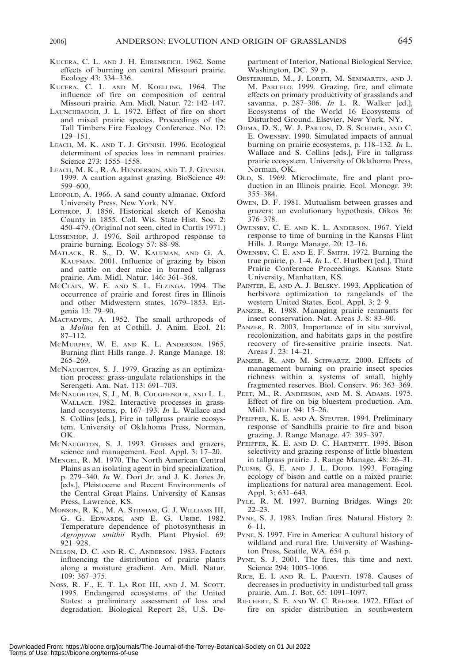- KUCERA, C. L. AND J. H. EHRENREICH. 1962. Some effects of burning on central Missouri prairie. Ecology 43: 334–336.
- KUCERA, C. L. AND M. KOELLING. 1964. The influence of fire on composition of central Missouri prairie. Am. Midl. Natur. 72: 142–147.
- LAUNCHBAUGH, J. L. 1972. Effect of fire on short and mixed prairie species. Proceedings of the Tall Timbers Fire Ecology Conference. No. 12: 129–151.
- LEACH, M. K. AND T. J. GIVNISH. 1996. Ecological determinant of species loss in remnant prairies. Science 273: 1555–1558.
- LEACH, M. K., R. A. HENDERSON, AND T. J. GIVNISH. 1999. A caution against grazing. BioScience 49: 599–600.
- LEOPOLD, A. 1966. A sand county almanac. Oxford University Press, New York, NY.
- LOTHROP, J. 1856. Historical sketch of Kenosha County in 1855. Coll. Wis. State Hist. Soc. 2: 450–479. (Original not seen, cited in Curtis 1971.)
- LUSSENHOP, J. 1976. Soil arthropod response to prairie burning. Ecology 57: 88–98.
- MATLACK, R. S., D. W. KAUFMAN, AND G. A. KAUFMAN. 2001. Influence of grazing by bison and cattle on deer mice in burned tallgrass prairie. Am. Midl. Natur. 146: 361–368.
- MCCLAIN, W. E. AND S. L. ELZINGA. 1994. The occurrence of prairie and forest fires in Illinois and other Midwestern states, 1679–1853. Erigenia 13: 79–90.
- MACFADYEN, A. 1952. The small arthropods of a Molina fen at Cothill. J. Anim. Ecol. 21: 87–112.
- MCMURPHY, W. E. AND K. L. ANDERSON. 1965. Burning flint Hills range. J. Range Manage. 18: 265–269.
- MCNAUGHTON, S. J. 1979. Grazing as an optimization process: grass-ungulate relationships in the Serengeti. Am. Nat. 113: 691–703.
- MCNAUGHTON, S. J., M. B. COUGHENOUR, AND L. L. WALLACE. 1982. Interactive processes in grassland ecosystems, p. 167–193. In L. Wallace and S. Collins [eds.], Fire in tallgrass prairie ecosystem. University of Oklahoma Press, Norman, OK.
- MCNAUGHTON, S. J. 1993. Grasses and grazers, science and management. Ecol. Appl. 3: 17–20.
- MENGEL, R. M. 1970. The North American Central Plains as an isolating agent in bird specialization, p. 279–340. In W. Dort Jr. and J. K. Jones Jr. [eds.], Pleistocene and Recent Environments of the Central Great Plains. University of Kansas Press, Lawrence, KS.
- MONSON, R. K., M. A. STIDHAM, G. J. WILLIAMS III, G. G. EDWARDS, AND E. G. URIBE. 1982. Temperature dependence of photosynthesis in Agropyron smithii Rydb. Plant Physiol. 69: 921–928.
- NELSON, D. C. AND R. C. ANDERSON. 1983. Factors influencing the distribution of prairie plants along a moisture gradient. Am. Midl. Natur. 109: 367–375.
- NOSS, R. F., E. T. LA ROE III, AND J. M. SCOTT. 1995. Endangered ecosystems of the United States: a preliminary assessment of loss and degradation. Biological Report 28, U.S. De-

partment of Interior, National Biological Service, Washington, DC. 59 p.

- OESTERHELD, M., J. LORETI, M. SEMMARTIN, AND J. M. PARUELO. 1999. Grazing, fire, and climate effects on primary productivity of grasslands and savanna, p. 287-306. In L. R. Walker [ed.], Ecosystems of the World 16 Ecosystems of Disturbed Ground. Elsevier, New York, NY.
- OJIMA, D. S., W. J. PARTON, D. S. SCHIMEL, AND C. E. OWENSBY. 1990. Simulated impacts of annual burning on prairie ecosystems, p. 118–132. In L. Wallace and S. Collins [eds.], Fire in tallgrass prairie ecosystem. University of Oklahoma Press, Norman, OK.
- OLD, S. 1969. Microclimate, fire and plant production in an Illinois prairie. Ecol. Monogr. 39: 355–384.
- OWEN, D. F. 1981. Mutualism between grasses and grazers: an evolutionary hypothesis. Oikos 36: 376–378.
- OWENSBY, C. E. AND K. L. ANDERSON. 1967. Yield response to time of burning in the Kansas Flint Hills. J. Range Manage. 20: 12–16.
- OWENSBY, C. E. AND E. F. SMITH. 1972. Burning the true prairie, p. 1–4. In L. C. Hurlbert [ed.], Third Prairie Conference Proceedings. Kansas State University, Manhattan, KS.
- PAINTER, E. AND A. J. BELSKY. 1993. Application of herbivore optimization to rangelands of the western United States. Ecol. Appl. 3: 2–9.
- PANZER, R. 1988. Managing prairie remnants for insect conservation. Nat. Areas J. 8: 83–90.
- PANZER, R. 2003. Importance of in situ survival, recolonization, and habitats gaps in the postfire recovery of fire-sensitive prairie insects. Nat. Areas J. 23: 14–21.
- PANZER, R. AND M. SCHWARTZ. 2000. Effects of management burning on prairie insect species richness within a systems of small, highly fragmented reserves. Biol. Conserv. 96: 363–369.
- PEET, M., R. ANDERSON, AND M. S. ADAMS. 1975. Effect of fire on big bluestem production. Am. Midl. Natur. 94: 15–26.
- PFEIFFER, K. E. AND A. STEUTER. 1994. Preliminary response of Sandhills prairie to fire and bison grazing. J. Range Manage. 47: 395–397.
- PFEIFFER, K. E. AND D. C. HARTNETT. 1995. Bison selectivity and grazing response of little bluestem in tallgrass prairie. J. Range Manage. 48: 26–31.
- PLUMB, G. E. AND J. L. DODD. 1993. Foraging ecology of bison and cattle on a mixed prairie: implications for natural area management. Ecol. Appl. 3: 631–643.
- PYLE, R. M. 1997. Burning Bridges. Wings 20: 22–23.
- PYNE, S. J. 1983. Indian fires. Natural History 2: 6–11.
- PYNE, S. 1997. Fire in America: A cultural history of wildland and rural fire. University of Washington Press, Seattle, WA. 654 p.
- PYNE, S. J. 2001. The fires, this time and next. Science 294: 1005–1006.
- RICE, E. I. AND R. L. PARENTI. 1978. Causes of decreases in productivity in undisturbed tall grass prairie. Am. J. Bot. 65: 1091–1097.
- RIECHERT, S. E. AND W. C. REEDER. 1972. Effect of fire on spider distribution in southwestern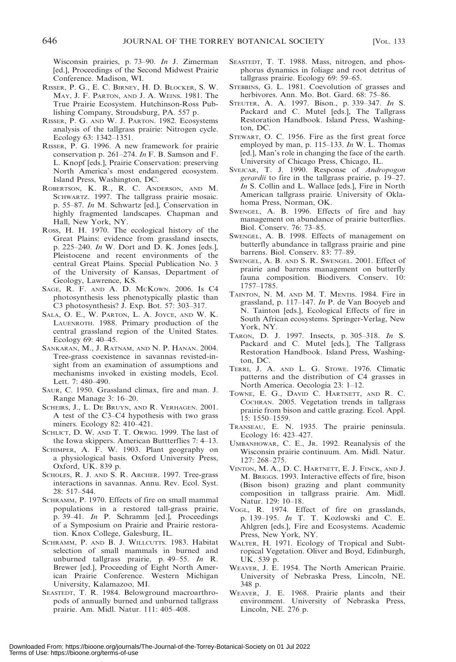Wisconsin prairies, p. 73–90. In J. Zimerman [ed.], Proceedings of the Second Midwest Prairie Conference. Madison, WI.

- RISSER, P. G., E. C. BIRNEY, H. D. BLOCKER, S. W. MAY, J. F. PARTON, AND J. A. WEINS. 1981. The True Prairie Ecosystem. Hutchinson-Ross Publishing Company, Stroudsburg, PA. 557 p.
- RISSER, P. G. AND W. J. PARTON. 1982. Ecosystems analysis of the tallgrass prairie: Nitrogen cycle. Ecology 63: 1342–1351.
- RISSER, P. G. 1996. A new framework for prairie conservation p. 261–274. In F. B. Samson and F. L. Knopf [eds.], Prairie Conservation: preserving North America's most endangered ecosystem. Island Press, Washington, DC.
- ROBERTSON, K. R., R. C. ANDERSON, AND M. SCHWARTZ. 1997. The tallgrass prairie mosaic. p. 55–87. In M. Schwartz [ed.], Conservation in highly fragmented landscapes. Chapman and Hall, New York, NY.
- ROSS, H. H. 1970. The ecological history of the Great Plains: evidence from grassland insects, p. 225–240. In W. Dort and D. K. Jones [eds.], Pleistocene and recent environments of the central Great Plains. Special Publication No. 3 of the University of Kansas, Department of Geology, Lawrence, KS.
- SAGE, R. F. AND A. D. MCKOWN. 2006. Is C4 photosynthesis less phenotypically plastic than C3 photosynthesis? J. Exp. Bot. 57: 303–317.
- SALA, O. E., W. PARTON, L. A. JOYCE, AND W. K. LAUENROTH. 1988. Primary production of the central grassland region of the United States. Ecology 69: 40–45.
- SANKARAN, M., J. RATNAM, AND N. P. HANAN. 2004. Tree-grass coexistence in savannas revisted-insight from an examination of assumptions and mechanisms invoked in existing models, Ecol. Lett. 7: 480–490.
- SAUR, C. 1950. Grassland climax, fire and man. J. Range Manage 3: 16–20.
- SCHEIRS, J., L. DE BRUYN, AND R. VERHAGEN. 2001. A test of the C3–C4 hypothesis with two grass miners. Ecology 82: 410–421.
- SCHLICT, D. W. AND T. T. ORWIG. 1999. The last of the Iowa skippers. American Buttterflies 7: 4–13.
- SCHIMPER, A. F. W. 1903. Plant geography on a physiological basis. Oxford University Press, Oxford, UK. 839 p.
- SCHOLES, R. J. AND S. R. ARCHER. 1997. Tree-grass interactions in savannas. Annu. Rev. Ecol. Syst. 28: 517–544.
- SCHRAMM, P. 1970. Effects of fire on small mammal populations in a restored tall-grass prairie, p. 39–41. In P. Schramm [ed.], Proceedings of a Symposium on Prairie and Prairie restoration. Knox College, Galesburg, IL.
- SCHRAMM, P. AND B. J. WILLCUTTS. 1983. Habitat selection of small mammals in burned and unburned tallgrass prairie, p. 49–55. In R. Brewer [ed.], Proceeding of Eight North American Prairie Conference. Western Michigan University, Kalamazoo, MI.
- SEASTEDT, T. R. 1984. Belowground macroarthropods of annually burned and unburned tallgrass prairie. Am. Midl. Natur. 111: 405–408.
- SEASTEDT, T. T. 1988. Mass, nitrogen, and phosphorus dynamics in foliage and root detritus of tallgrass prairie. Ecology 69: 59–65.
- STEBBINS, G. L. 1981. Coevolution of grasses and herbivores. Ann. Mo. Bot. Gard. 68: 75–86.
- STEUTER, A. A. 1997. Bison., p. 339–347. In S. Packard and C. Mutel [eds.], The Tallgrass Restoration Handbook. Island Press, Washington, DC.
- STEWART, O. C. 1956. Fire as the first great force employed by man, p. 115–133. In W. L. Thomas [ed.], Man's role in changing the face of the earth. University of Chicago Press, Chicago, IL.
- SVEJCAR, T. J. 1990. Response of Andropogon gerardii to fire in the tallgrass prairie, p. 19–27. In S. Collin and L. Wallace [eds.], Fire in North American tallgrass prairie. University of Oklahoma Press, Norman, OK.
- SWENGEL, A. B. 1996. Effects of fire and hay management on abundance of prairie butterflies. Biol. Conserv. 76: 73–85.
- SWENGEL, A. B. 1998. Effects of management on butterfly abundance in tallgrass prairie and pine barrens. Biol. Conserv. 83: 77–89.
- SWENGEL, A. B. AND S. R. SWENGEL. 2001. Effect of prairie and barrens management on butterfly fauna composition. Biodivers. Conserv. 10: 1757–1785.
- TAINTON, N. M. AND M. T. MENTIS. 1984. Fire in grassland, p. 117–147. In P. de Van Booyeb and N. Tainton [eds.], Ecological Effects of fire in South African ecosystems. Springer-Verlag, New York, NY.
- TARON, D. J. 1997. Insects, p. 305–318. In S. Packard and C. Mutel [eds.], The Tallgrass Restoration Handbook. Island Press, Washington, DC.
- TERRI, J. A. AND L. G. STOWE. 1976. Climatic patterns and the distribution of C4 grasses in North America. Oecologia 23: 1–12.
- TOWNE, E. G., DAVID C. HARTNETT, AND R. C. COCHRAN. 2005. Vegetation trends in tallgrass prairie from bison and cattle grazing. Ecol. Appl. 15: 1550–1559.
- TRANSEAU, E. N. 1935. The prairie peninsula. Ecology 16: 423–427.
- UMBANHOWAR, C. E., JR. 1992. Reanalysis of the Wisconsin prairie continuum. Am. Midl. Natur. 127: 268–275.
- VINTON, M. A., D. C. HARTNETT, E. J. FINCK, AND J. M. BRIGGS. 1993. Interactive effects of fire, bison (Bison bison) grazing and plant community composition in tallgrass prairie. Am. Midl. Natur. 129: 10–18.
- VOGL, R. 1974. Effect of fire on grasslands, p. 139–195. In T. T. Kozlowski and C. E. Ahlgren [eds.], Fire and Ecosystems. Academic Press, New York, NY.
- WALTER, H. 1971. Ecology of Tropical and Subtropical Vegetation. Oliver and Boyd, Edinburgh, UK. 539 p.
- WEAVER, J. E. 1954. The North American Prairie. University of Nebraska Press, Lincoln, NE. 348 p.
- WEAVER, J. E. 1968. Prairie plants and their environment. University of Nebraska Press, Lincoln, NE. 276 p.